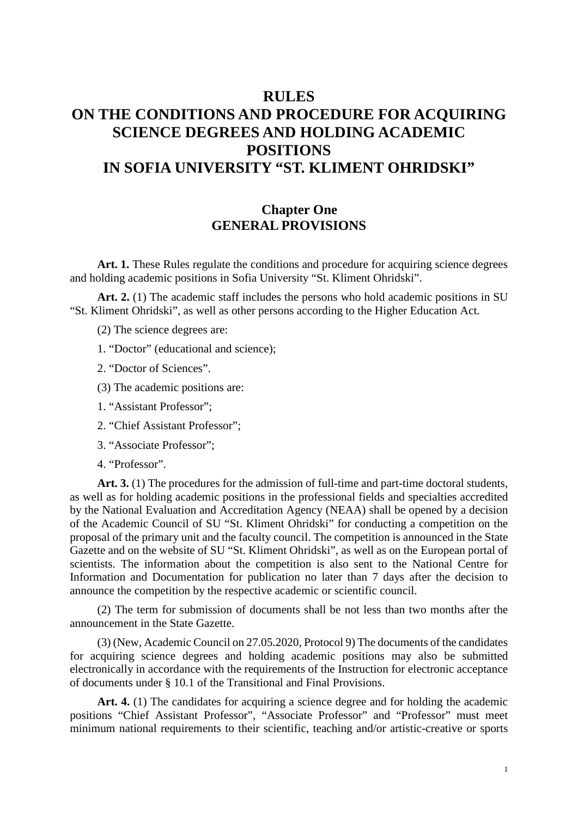# **RULES ON THE CONDITIONS AND PROCEDURE FOR ACQUIRING SCIENCE DEGREES AND HOLDING ACADEMIC POSITIONS IN SOFIA UNIVERSITY "ST. KLIMENT OHRIDSKI"**

### **Chapter One GENERAL PROVISIONS**

Art. 1. These Rules regulate the conditions and procedure for acquiring science degrees and holding academic positions in Sofia University "St. Kliment Ohridski".

Art. 2. (1) The academic staff includes the persons who hold academic positions in SU "St. Kliment Ohridski", as well as other persons according to the Higher Education Act.

(2) The science degrees are:

1. "Doctor" (educational and science);

2. "Doctor of Sciences".

(3) The academic positions are:

- 1. "Assistant Professor";
- 2. "Chief Assistant Professor";
- 3. "Associate Professor";
- 4. "Professor".

Art. 3. (1) The procedures for the admission of full-time and part-time doctoral students, as well as for holding academic positions in the professional fields and specialties accredited by the National Evaluation and Accreditation Agency (NEAA) shall be opened by a decision of the Academic Council of SU "St. Kliment Ohridski" for conducting a competition on the proposal of the primary unit and the faculty council. The competition is announced in the State Gazette and on the website of SU "St. Kliment Ohridski", as well as on the European portal of scientists. The information about the competition is also sent to the National Centre for Information and Documentation for publication no later than 7 days after the decision to announce the competition by the respective academic or scientific council.

(2) The term for submission of documents shall be not less than two months after the announcement in the State Gazette.

(3) (New, Academic Council on 27.05.2020, Protocol 9) The documents of the candidates for acquiring science degrees and holding academic positions may also be submitted electronically in accordance with the requirements of the Instruction for electronic acceptance of documents under § 10.1 of the Transitional and Final Provisions.

Art. 4. (1) The candidates for acquiring a science degree and for holding the academic positions "Chief Assistant Professor", "Associate Professor" and "Professor" must meet minimum national requirements to their scientific, teaching and/or artistic-creative or sports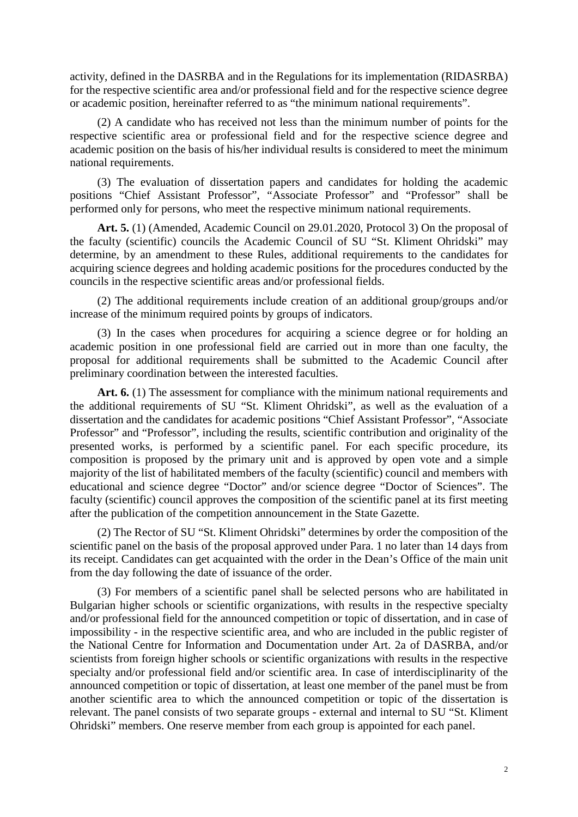activity, defined in the DASRBA and in the Regulations for its implementation (RIDASRBA) for the respective scientific area and/or professional field and for the respective science degree or academic position, hereinafter referred to as "the minimum national requirements".

(2) A candidate who has received not less than the minimum number of points for the respective scientific area or professional field and for the respective science degree and academic position on the basis of his/her individual results is considered to meet the minimum national requirements.

(3) The evaluation of dissertation papers and candidates for holding the academic positions "Chief Assistant Professor", "Associate Professor" and "Professor" shall be performed only for persons, who meet the respective minimum national requirements.

**Art. 5.** (1) (Amended, Academic Council on 29.01.2020, Protocol 3) On the proposal of the faculty (scientific) councils the Academic Council of SU "St. Kliment Ohridski" may determine, by an amendment to these Rules, additional requirements to the candidates for acquiring science degrees and holding academic positions for the procedures conducted by the councils in the respective scientific areas and/or professional fields.

(2) The additional requirements include creation of an additional group/groups and/or increase of the minimum required points by groups of indicators.

(3) In the cases when procedures for acquiring a science degree or for holding an academic position in one professional field are carried out in more than one faculty, the proposal for additional requirements shall be submitted to the Academic Council after preliminary coordination between the interested faculties.

Art. 6. (1) The assessment for compliance with the minimum national requirements and the additional requirements of SU "St. Kliment Ohridski", as well as the evaluation of a dissertation and the candidates for academic positions "Chief Assistant Professor", "Associate Professor" and "Professor", including the results, scientific contribution and originality of the presented works, is performed by a scientific panel. For each specific procedure, its composition is proposed by the primary unit and is approved by open vote and a simple majority of the list of habilitated members of the faculty (scientific) council and members with educational and science degree "Doctor" and/or science degree "Doctor of Sciences". The faculty (scientific) council approves the composition of the scientific panel at its first meeting after the publication of the competition announcement in the State Gazette.

(2) The Rector of SU "St. Kliment Ohridski" determines by order the composition of the scientific panel on the basis of the proposal approved under Para. 1 no later than 14 days from its receipt. Candidates can get acquainted with the order in the Dean's Office of the main unit from the day following the date of issuance of the order.

(3) For members of a scientific panel shall be selected persons who are habilitated in Bulgarian higher schools or scientific organizations, with results in the respective specialty and/or professional field for the announced competition or topic of dissertation, and in case of impossibility - in the respective scientific area, and who are included in the public register of the National Centre for Information and Documentation under Art. 2a of DASRBA, and/or scientists from foreign higher schools or scientific organizations with results in the respective specialty and/or professional field and/or scientific area. In case of interdisciplinarity of the announced competition or topic of dissertation, at least one member of the panel must be from another scientific area to which the announced competition or topic of the dissertation is relevant. The panel consists of two separate groups - external and internal to SU "St. Kliment Ohridski" members. One reserve member from each group is appointed for each panel.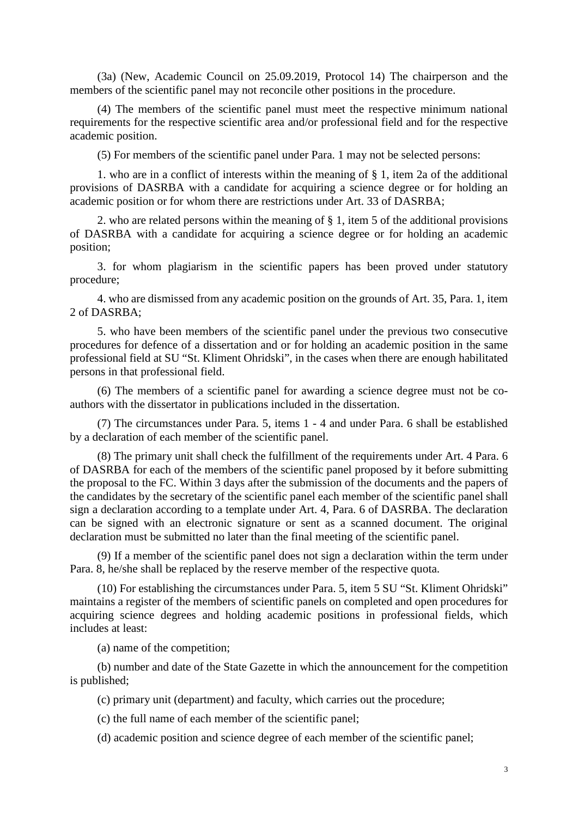(3a) (New, Academic Council on 25.09.2019, Protocol 14) The chairperson and the members of the scientific panel may not reconcile other positions in the procedure.

(4) The members of the scientific panel must meet the respective minimum national requirements for the respective scientific area and/or professional field and for the respective academic position.

(5) For members of the scientific panel under Para. 1 may not be selected persons:

1. who are in a conflict of interests within the meaning of § 1, item 2a of the additional provisions of DASRBA with a candidate for acquiring a science degree or for holding an academic position or for whom there are restrictions under Art. 33 of DASRBA;

2. who are related persons within the meaning of § 1, item 5 of the additional provisions of DASRBA with a candidate for acquiring a science degree or for holding an academic position;

3. for whom plagiarism in the scientific papers has been proved under statutory procedure;

4. who are dismissed from any academic position on the grounds of Art. 35, Para. 1, item 2 of DASRBA;

5. who have been members of the scientific panel under the previous two consecutive procedures for defence of a dissertation and or for holding an academic position in the same professional field at SU "St. Kliment Ohridski", in the cases when there are enough habilitated persons in that professional field.

(6) The members of a scientific panel for awarding a science degree must not be coauthors with the dissertator in publications included in the dissertation.

(7) The circumstances under Para. 5, items 1 - 4 and under Para. 6 shall be established by a declaration of each member of the scientific panel.

(8) The primary unit shall check the fulfillment of the requirements under Art. 4 Para. 6 of DASRBA for each of the members of the scientific panel proposed by it before submitting the proposal to the FC. Within 3 days after the submission of the documents and the papers of the candidates by the secretary of the scientific panel each member of the scientific panel shall sign a declaration according to a template under Art. 4, Para. 6 of DASRBA. The declaration can be signed with an electronic signature or sent as a scanned document. The original declaration must be submitted no later than the final meeting of the scientific panel.

(9) If a member of the scientific panel does not sign a declaration within the term under Para. 8, he/she shall be replaced by the reserve member of the respective quota.

(10) For establishing the circumstances under Para. 5, item 5 SU "St. Kliment Ohridski" maintains a register of the members of scientific panels on completed and open procedures for acquiring science degrees and holding academic positions in professional fields, which includes at least:

(a) name of the competition;

(b) number and date of the State Gazette in which the announcement for the competition is published;

(c) primary unit (department) and faculty, which carries out the procedure;

(c) the full name of each member of the scientific panel;

(d) academic position and science degree of each member of the scientific panel;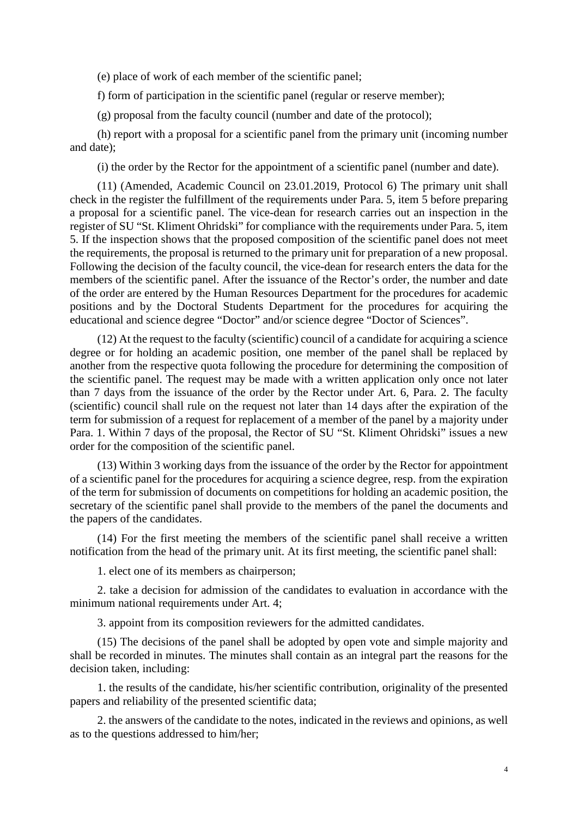(e) place of work of each member of the scientific panel;

f) form of participation in the scientific panel (regular or reserve member);

(g) proposal from the faculty council (number and date of the protocol);

(h) report with a proposal for a scientific panel from the primary unit (incoming number and date);

(i) the order by the Rector for the appointment of a scientific panel (number and date).

(11) (Amended, Academic Council on 23.01.2019, Protocol 6) The primary unit shall check in the register the fulfillment of the requirements under Para. 5, item 5 before preparing a proposal for a scientific panel. The vice-dean for research carries out an inspection in the register of SU "St. Kliment Ohridski" for compliance with the requirements under Para. 5, item 5. If the inspection shows that the proposed composition of the scientific panel does not meet the requirements, the proposal is returned to the primary unit for preparation of a new proposal. Following the decision of the faculty council, the vice-dean for research enters the data for the members of the scientific panel. After the issuance of the Rector's order, the number and date of the order are entered by the Human Resources Department for the procedures for academic positions and by the Doctoral Students Department for the procedures for acquiring the educational and science degree "Doctor" and/or science degree "Doctor of Sciences".

(12) At the request to the faculty (scientific) council of a candidate for acquiring a science degree or for holding an academic position, one member of the panel shall be replaced by another from the respective quota following the procedure for determining the composition of the scientific panel. The request may be made with a written application only once not later than 7 days from the issuance of the order by the Rector under Art. 6, Para. 2. The faculty (scientific) council shall rule on the request not later than 14 days after the expiration of the term for submission of a request for replacement of a member of the panel by a majority under Para. 1. Within 7 days of the proposal, the Rector of SU "St. Kliment Ohridski" issues a new order for the composition of the scientific panel.

(13) Within 3 working days from the issuance of the order by the Rector for appointment of a scientific panel for the procedures for acquiring a science degree, resp. from the expiration of the term for submission of documents on competitions for holding an academic position, the secretary of the scientific panel shall provide to the members of the panel the documents and the papers of the candidates.

(14) For the first meeting the members of the scientific panel shall receive a written notification from the head of the primary unit. At its first meeting, the scientific panel shall:

1. elect one of its members as chairperson;

2. take a decision for admission of the candidates to evaluation in accordance with the minimum national requirements under Art. 4;

3. appoint from its composition reviewers for the admitted candidates.

(15) The decisions of the panel shall be adopted by open vote and simple majority and shall be recorded in minutes. The minutes shall contain as an integral part the reasons for the decision taken, including:

1. the results of the candidate, his/her scientific contribution, originality of the presented papers and reliability of the presented scientific data;

2. the answers of the candidate to the notes, indicated in the reviews and opinions, as well as to the questions addressed to him/her;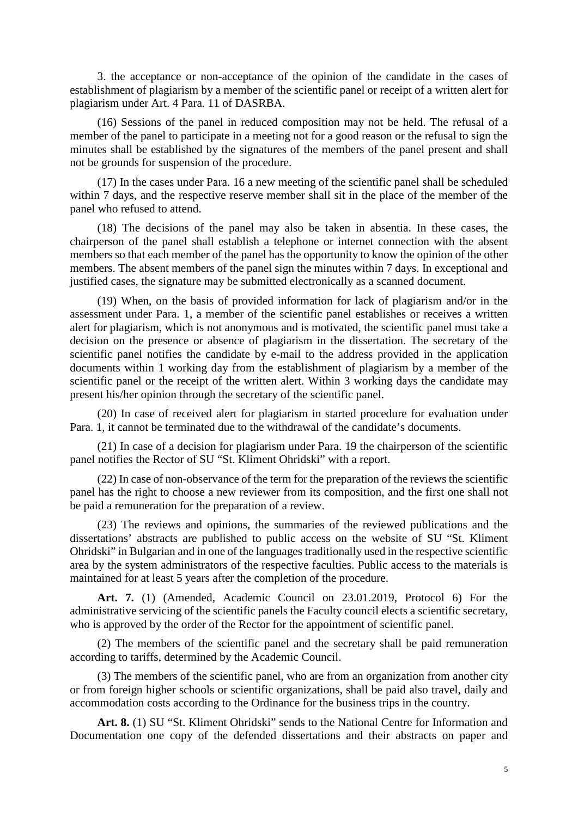3. the acceptance or non-acceptance of the opinion of the candidate in the cases of establishment of plagiarism by a member of the scientific panel or receipt of a written alert for plagiarism under Art. 4 Para. 11 of DASRBA.

(16) Sessions of the panel in reduced composition may not be held. The refusal of a member of the panel to participate in a meeting not for a good reason or the refusal to sign the minutes shall be established by the signatures of the members of the panel present and shall not be grounds for suspension of the procedure.

(17) In the cases under Para. 16 a new meeting of the scientific panel shall be scheduled within 7 days, and the respective reserve member shall sit in the place of the member of the panel who refused to attend.

(18) The decisions of the panel may also be taken in absentia. In these cases, the chairperson of the panel shall establish a telephone or internet connection with the absent members so that each member of the panel has the opportunity to know the opinion of the other members. The absent members of the panel sign the minutes within 7 days. In exceptional and justified cases, the signature may be submitted electronically as a scanned document.

(19) When, on the basis of provided information for lack of plagiarism and/or in the assessment under Para. 1, a member of the scientific panel establishes or receives a written alert for plagiarism, which is not anonymous and is motivated, the scientific panel must take a decision on the presence or absence of plagiarism in the dissertation. The secretary of the scientific panel notifies the candidate by e-mail to the address provided in the application documents within 1 working day from the establishment of plagiarism by a member of the scientific panel or the receipt of the written alert. Within 3 working days the candidate may present his/her opinion through the secretary of the scientific panel.

(20) In case of received alert for plagiarism in started procedure for evaluation under Para. 1, it cannot be terminated due to the withdrawal of the candidate's documents.

(21) In case of a decision for plagiarism under Para. 19 the chairperson of the scientific panel notifies the Rector of SU "St. Kliment Ohridski" with a report.

(22) In case of non-observance of the term for the preparation of the reviews the scientific panel has the right to choose a new reviewer from its composition, and the first one shall not be paid a remuneration for the preparation of a review.

(23) The reviews and opinions, the summaries of the reviewed publications and the dissertations' abstracts are published to public access on the website of SU "St. Kliment Ohridski" in Bulgarian and in one of the languages traditionally used in the respective scientific area by the system administrators of the respective faculties. Public access to the materials is maintained for at least 5 years after the completion of the procedure.

**Art. 7.** (1) (Amended, Academic Council on 23.01.2019, Protocol 6) For the administrative servicing of the scientific panels the Faculty council elects a scientific secretary, who is approved by the order of the Rector for the appointment of scientific panel.

(2) The members of the scientific panel and the secretary shall be paid remuneration according to tariffs, determined by the Academic Council.

(3) The members of the scientific panel, who are from an organization from another city or from foreign higher schools or scientific organizations, shall be paid also travel, daily and accommodation costs according to the Ordinance for the business trips in the country.

**Art. 8.** (1) SU "St. Kliment Ohridski" sends to the National Centre for Information and Documentation one copy of the defended dissertations and their abstracts on paper and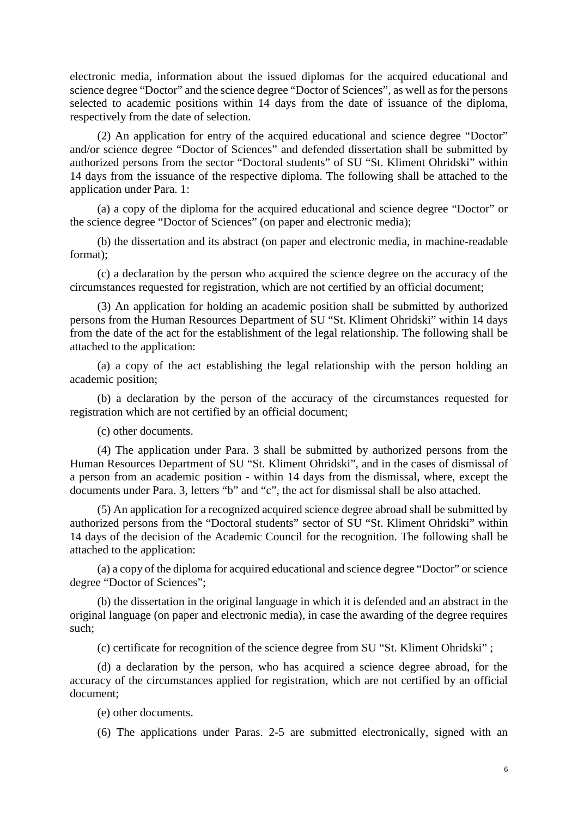electronic media, information about the issued diplomas for the acquired educational and science degree "Doctor" and the science degree "Doctor of Sciences", as well as for the persons selected to academic positions within 14 days from the date of issuance of the diploma, respectively from the date of selection.

(2) An application for entry of the acquired educational and science degree "Doctor" and/or science degree "Doctor of Sciences" and defended dissertation shall be submitted by authorized persons from the sector "Doctoral students" of SU "St. Kliment Ohridski" within 14 days from the issuance of the respective diploma. The following shall be attached to the application under Para. 1:

(a) a copy of the diploma for the acquired educational and science degree "Doctor" or the science degree "Doctor of Sciences" (on paper and electronic media);

(b) the dissertation and its abstract (on paper and electronic media, in machine-readable format);

(c) a declaration by the person who acquired the science degree on the accuracy of the circumstances requested for registration, which are not certified by an official document;

(3) An application for holding an academic position shall be submitted by authorized persons from the Human Resources Department of SU "St. Kliment Ohridski" within 14 days from the date of the act for the establishment of the legal relationship. The following shall be attached to the application:

(a) a copy of the act establishing the legal relationship with the person holding an academic position;

(b) a declaration by the person of the accuracy of the circumstances requested for registration which are not certified by an official document;

(c) other documents.

(4) The application under Para. 3 shall be submitted by authorized persons from the Human Resources Department of SU "St. Kliment Ohridski", and in the cases of dismissal of a person from an academic position - within 14 days from the dismissal, where, except the documents under Para. 3, letters "b" and "c", the act for dismissal shall be also attached.

(5) An application for a recognized acquired science degree abroad shall be submitted by authorized persons from the "Doctoral students" sector of SU "St. Kliment Ohridski" within 14 days of the decision of the Academic Council for the recognition. The following shall be attached to the application:

(a) a copy of the diploma for acquired educational and science degree "Doctor" or science degree "Doctor of Sciences";

(b) the dissertation in the original language in which it is defended and an abstract in the original language (on paper and electronic media), in case the awarding of the degree requires such;

(c) certificate for recognition of the science degree from SU "St. Kliment Ohridski" ;

(d) a declaration by the person, who has acquired a science degree abroad, for the accuracy of the circumstances applied for registration, which are not certified by an official document;

(e) other documents.

(6) The applications under Paras. 2-5 are submitted electronically, signed with an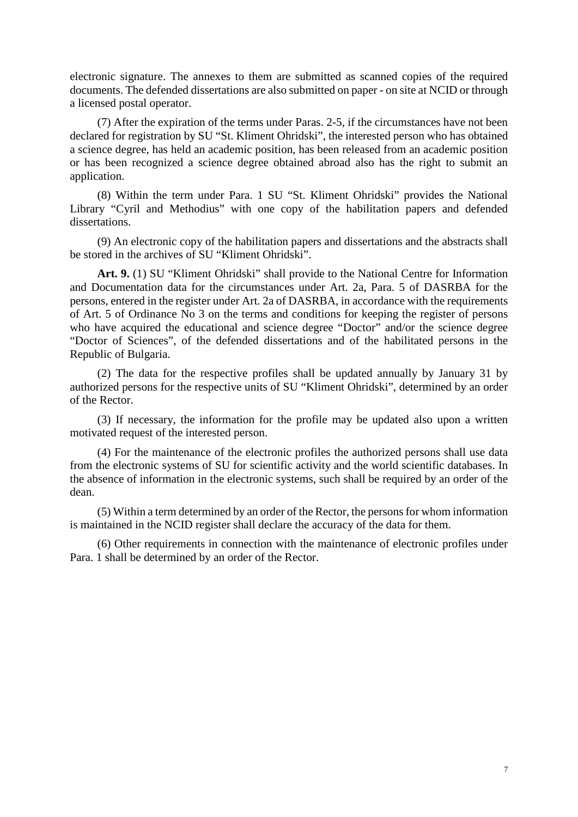electronic signature. The annexes to them are submitted as scanned copies of the required documents. The defended dissertations are also submitted on paper - on site at NCID or through a licensed postal operator.

(7) After the expiration of the terms under Paras. 2-5, if the circumstances have not been declared for registration by SU "St. Kliment Ohridski", the interested person who has obtained a science degree, has held an academic position, has been released from an academic position or has been recognized a science degree obtained abroad also has the right to submit an application.

(8) Within the term under Para. 1 SU "St. Kliment Ohridski" provides the National Library "Cyril and Methodius" with one copy of the habilitation papers and defended dissertations.

(9) An electronic copy of the habilitation papers and dissertations and the abstracts shall be stored in the archives of SU "Kliment Ohridski".

Art. 9. (1) SU "Kliment Ohridski" shall provide to the National Centre for Information and Documentation data for the circumstances under Art. 2a, Para. 5 of DASRBA for the persons, entered in the register under Art. 2a of DASRBA, in accordance with the requirements of Art. 5 of Ordinance No 3 on the terms and conditions for keeping the register of persons who have acquired the educational and science degree "Doctor" and/or the science degree "Doctor of Sciences", of the defended dissertations and of the habilitated persons in the Republic of Bulgaria.

(2) The data for the respective profiles shall be updated annually by January 31 by authorized persons for the respective units of SU "Kliment Ohridski", determined by an order of the Rector.

(3) If necessary, the information for the profile may be updated also upon a written motivated request of the interested person.

(4) For the maintenance of the electronic profiles the authorized persons shall use data from the electronic systems of SU for scientific activity and the world scientific databases. In the absence of information in the electronic systems, such shall be required by an order of the dean.

(5) Within a term determined by an order of the Rector, the persons for whom information is maintained in the NCID register shall declare the accuracy of the data for them.

(6) Other requirements in connection with the maintenance of electronic profiles under Para. 1 shall be determined by an order of the Rector.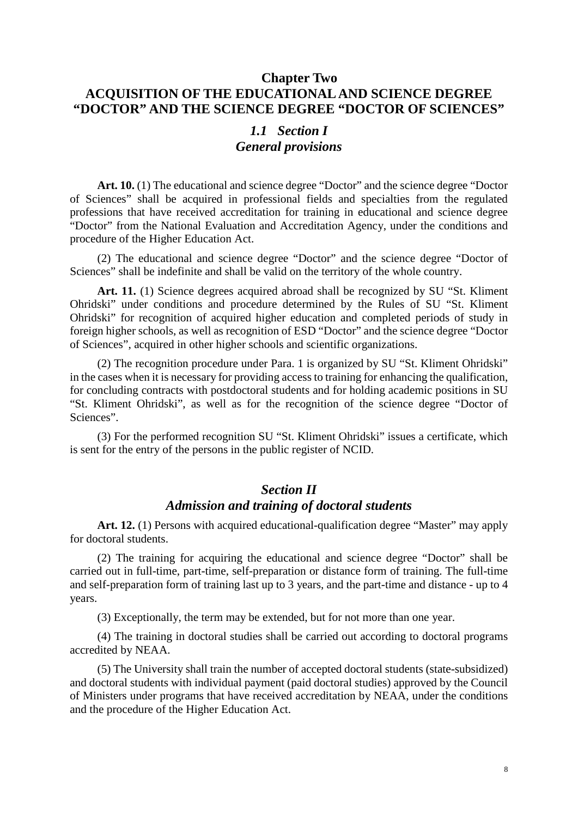# **Chapter Two ACQUISITION OF THE EDUCATIONAL AND SCIENCE DEGREE "DOCTOR" AND THE SCIENCE DEGREE "DOCTOR OF SCIENCES"**

### *1.1 Section I General provisions*

Art. 10. (1) The educational and science degree "Doctor" and the science degree "Doctor" of Sciences" shall be acquired in professional fields and specialties from the regulated professions that have received accreditation for training in educational and science degree "Doctor" from the National Evaluation and Accreditation Agency, under the conditions and procedure of the Higher Education Act.

(2) The educational and science degree "Doctor" and the science degree "Doctor of Sciences" shall be indefinite and shall be valid on the territory of the whole country.

**Art. 11.** (1) Science degrees acquired abroad shall be recognized by SU "St. Kliment Ohridski" under conditions and procedure determined by the Rules of SU "St. Kliment Ohridski" for recognition of acquired higher education and completed periods of study in foreign higher schools, as well as recognition of ESD "Doctor" and the science degree "Doctor of Sciences", acquired in other higher schools and scientific organizations.

(2) The recognition procedure under Para. 1 is organized by SU "St. Kliment Ohridski" in the cases when it is necessary for providing access to training for enhancing the qualification, for concluding contracts with postdoctoral students and for holding academic positions in SU "St. Kliment Ohridski", as well as for the recognition of the science degree "Doctor of Sciences".

(3) For the performed recognition SU "St. Kliment Ohridski" issues a certificate, which is sent for the entry of the persons in the public register of NCID.

# *Section II Admission and training of doctoral students*

Art. 12. (1) Persons with acquired educational-qualification degree "Master" may apply for doctoral students.

(2) The training for acquiring the educational and science degree "Doctor" shall be carried out in full-time, part-time, self-preparation or distance form of training. The full-time and self-preparation form of training last up to 3 years, and the part-time and distance - up to 4 years.

(3) Exceptionally, the term may be extended, but for not more than one year.

(4) The training in doctoral studies shall be carried out according to doctoral programs accredited by NEAA.

(5) The University shall train the number of accepted doctoral students (state-subsidized) and doctoral students with individual payment (paid doctoral studies) approved by the Council of Ministers under programs that have received accreditation by NEAA, under the conditions and the procedure of the Higher Education Act.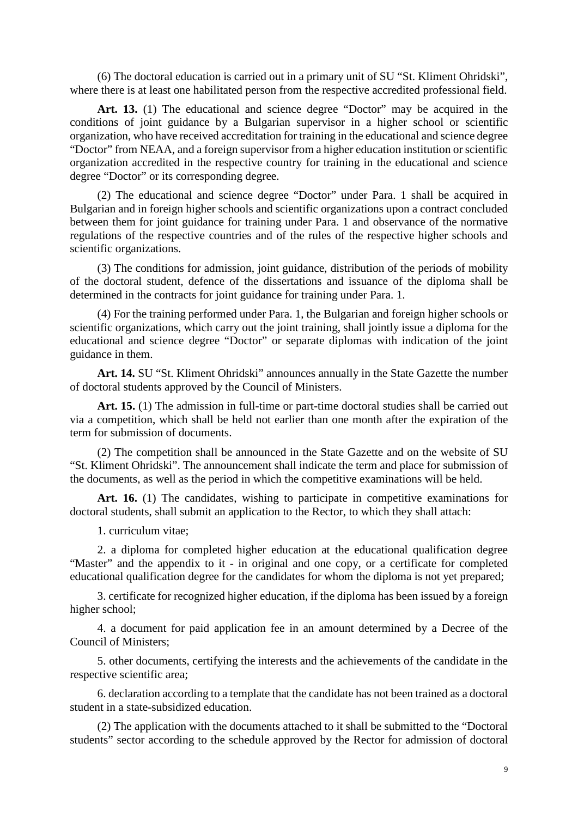(6) The doctoral education is carried out in a primary unit of SU "St. Kliment Ohridski", where there is at least one habilitated person from the respective accredited professional field.

Art. 13. (1) The educational and science degree "Doctor" may be acquired in the conditions of joint guidance by a Bulgarian supervisor in a higher school or scientific organization, who have received accreditation for training in the educational and science degree "Doctor" from NEAA, and a foreign supervisor from a higher education institution or scientific organization accredited in the respective country for training in the educational and science degree "Doctor" or its corresponding degree.

(2) The educational and science degree "Doctor" under Para. 1 shall be acquired in Bulgarian and in foreign higher schools and scientific organizations upon a contract concluded between them for joint guidance for training under Para. 1 and observance of the normative regulations of the respective countries and of the rules of the respective higher schools and scientific organizations.

(3) The conditions for admission, joint guidance, distribution of the periods of mobility of the doctoral student, defence of the dissertations and issuance of the diploma shall be determined in the contracts for joint guidance for training under Para. 1.

(4) For the training performed under Para. 1, the Bulgarian and foreign higher schools or scientific organizations, which carry out the joint training, shall jointly issue a diploma for the educational and science degree "Doctor" or separate diplomas with indication of the joint guidance in them.

**Art. 14.** SU "St. Kliment Ohridski" announces annually in the State Gazette the number of doctoral students approved by the Council of Ministers.

Art. 15. (1) The admission in full-time or part-time doctoral studies shall be carried out via a competition, which shall be held not earlier than one month after the expiration of the term for submission of documents.

(2) The competition shall be announced in the State Gazette and on the website of SU "St. Kliment Ohridski". The announcement shall indicate the term and place for submission of the documents, as well as the period in which the competitive examinations will be held.

Art. 16. (1) The candidates, wishing to participate in competitive examinations for doctoral students, shall submit an application to the Rector, to which they shall attach:

1. curriculum vitae;

2. a diploma for completed higher education at the educational qualification degree "Master" and the appendix to it - in original and one copy, or a certificate for completed educational qualification degree for the candidates for whom the diploma is not yet prepared;

3. certificate for recognized higher education, if the diploma has been issued by a foreign higher school;

4. a document for paid application fee in an amount determined by a Decree of the Council of Ministers;

5. other documents, certifying the interests and the achievements of the candidate in the respective scientific area;

6. declaration according to a template that the candidate has not been trained as a doctoral student in a state-subsidized education.

(2) The application with the documents attached to it shall be submitted to the "Doctoral students" sector according to the schedule approved by the Rector for admission of doctoral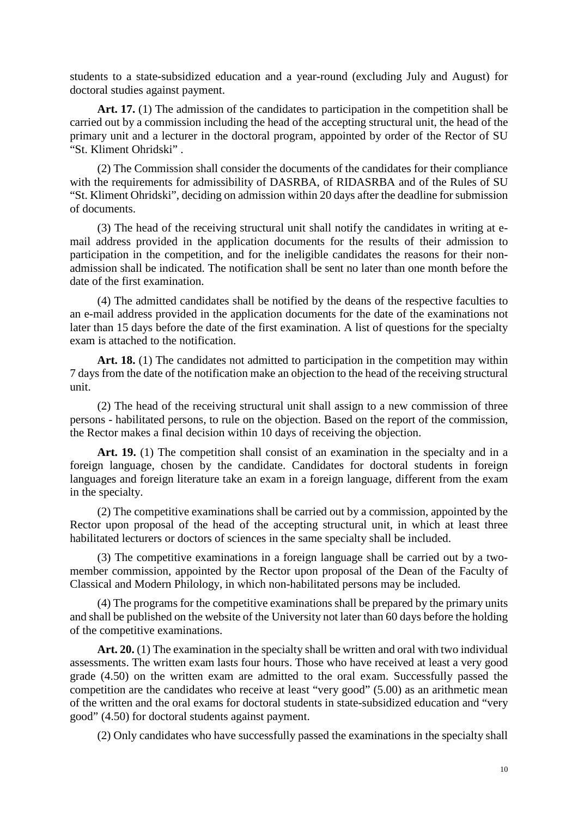students to a state-subsidized education and a year-round (excluding July and August) for doctoral studies against payment.

Art. 17. (1) The admission of the candidates to participation in the competition shall be carried out by a commission including the head of the accepting structural unit, the head of the primary unit and a lecturer in the doctoral program, appointed by order of the Rector of SU "St. Kliment Ohridski" .

(2) The Commission shall consider the documents of the candidates for their compliance with the requirements for admissibility of DASRBA, of RIDASRBA and of the Rules of SU "St. Kliment Ohridski", deciding on admission within 20 days after the deadline for submission of documents.

(3) The head of the receiving structural unit shall notify the candidates in writing at email address provided in the application documents for the results of their admission to participation in the competition, and for the ineligible candidates the reasons for their nonadmission shall be indicated. The notification shall be sent no later than one month before the date of the first examination.

(4) The admitted candidates shall be notified by the deans of the respective faculties to an e-mail address provided in the application documents for the date of the examinations not later than 15 days before the date of the first examination. A list of questions for the specialty exam is attached to the notification.

Art. 18. (1) The candidates not admitted to participation in the competition may within 7 days from the date of the notification make an objection to the head of the receiving structural unit.

(2) The head of the receiving structural unit shall assign to a new commission of three persons - habilitated persons, to rule on the objection. Based on the report of the commission, the Rector makes a final decision within 10 days of receiving the objection.

Art. 19. (1) The competition shall consist of an examination in the specialty and in a foreign language, chosen by the candidate. Candidates for doctoral students in foreign languages and foreign literature take an exam in a foreign language, different from the exam in the specialty.

(2) The competitive examinations shall be carried out by a commission, appointed by the Rector upon proposal of the head of the accepting structural unit, in which at least three habilitated lecturers or doctors of sciences in the same specialty shall be included.

(3) The competitive examinations in a foreign language shall be carried out by a twomember commission, appointed by the Rector upon proposal of the Dean of the Faculty of Classical and Modern Philology, in which non-habilitated persons may be included.

(4) The programs for the competitive examinations shall be prepared by the primary units and shall be published on the website of the University not later than 60 days before the holding of the competitive examinations.

Art. 20. (1) The examination in the specialty shall be written and oral with two individual assessments. The written exam lasts four hours. Those who have received at least a very good grade (4.50) on the written exam are admitted to the oral exam. Successfully passed the competition are the candidates who receive at least "very good" (5.00) as an arithmetic mean of the written and the oral exams for doctoral students in state-subsidized education and "very good" (4.50) for doctoral students against payment.

(2) Only candidates who have successfully passed the examinations in the specialty shall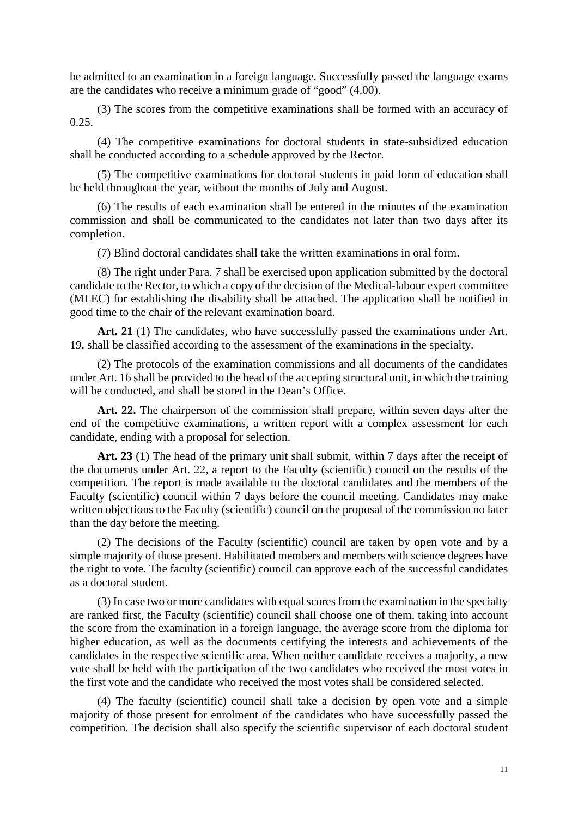be admitted to an examination in a foreign language. Successfully passed the language exams are the candidates who receive a minimum grade of "good" (4.00).

(3) The scores from the competitive examinations shall be formed with an accuracy of 0.25.

(4) The competitive examinations for doctoral students in state-subsidized education shall be conducted according to a schedule approved by the Rector.

(5) The competitive examinations for doctoral students in paid form of education shall be held throughout the year, without the months of July and August.

(6) The results of each examination shall be entered in the minutes of the examination commission and shall be communicated to the candidates not later than two days after its completion.

(7) Blind doctoral candidates shall take the written examinations in oral form.

(8) The right under Para. 7 shall be exercised upon application submitted by the doctoral candidate to the Rector, to which a copy of the decision of the Medical-labour expert committee (MLEC) for establishing the disability shall be attached. The application shall be notified in good time to the chair of the relevant examination board.

**Art. 21** (1) The candidates, who have successfully passed the examinations under Art. 19, shall be classified according to the assessment of the examinations in the specialty.

(2) The protocols of the examination commissions and all documents of the candidates under Art. 16 shall be provided to the head of the accepting structural unit, in which the training will be conducted, and shall be stored in the Dean's Office.

Art. 22. The chairperson of the commission shall prepare, within seven days after the end of the competitive examinations, a written report with a complex assessment for each candidate, ending with a proposal for selection.

**Art. 23** (1) The head of the primary unit shall submit, within 7 days after the receipt of the documents under Art. 22, a report to the Faculty (scientific) council on the results of the competition. The report is made available to the doctoral candidates and the members of the Faculty (scientific) council within 7 days before the council meeting. Candidates may make written objections to the Faculty (scientific) council on the proposal of the commission no later than the day before the meeting.

(2) The decisions of the Faculty (scientific) council are taken by open vote and by a simple majority of those present. Habilitated members and members with science degrees have the right to vote. The faculty (scientific) council can approve each of the successful candidates as a doctoral student.

(3) In case two or more candidates with equal scores from the examination in the specialty are ranked first, the Faculty (scientific) council shall choose one of them, taking into account the score from the examination in a foreign language, the average score from the diploma for higher education, as well as the documents certifying the interests and achievements of the candidates in the respective scientific area. When neither candidate receives a majority, a new vote shall be held with the participation of the two candidates who received the most votes in the first vote and the candidate who received the most votes shall be considered selected.

(4) The faculty (scientific) council shall take a decision by open vote and a simple majority of those present for enrolment of the candidates who have successfully passed the competition. The decision shall also specify the scientific supervisor of each doctoral student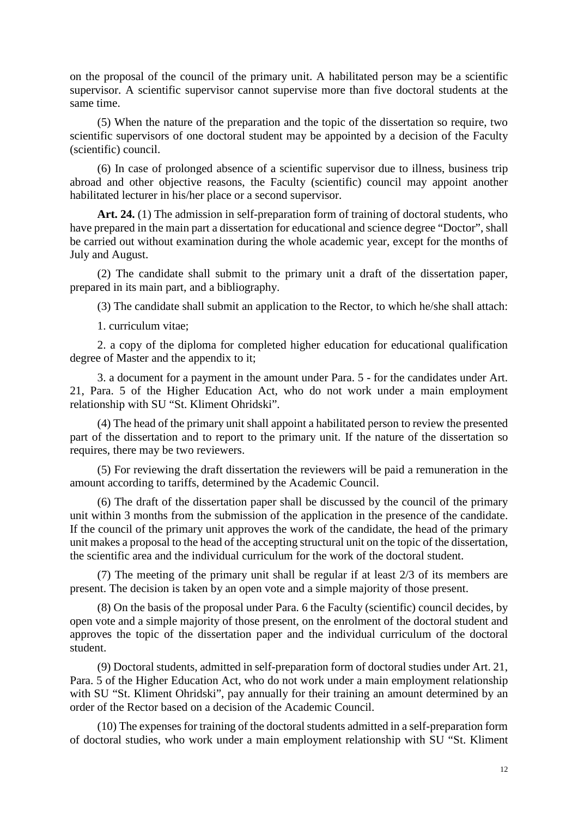on the proposal of the council of the primary unit. A habilitated person may be a scientific supervisor. A scientific supervisor cannot supervise more than five doctoral students at the same time.

(5) When the nature of the preparation and the topic of the dissertation so require, two scientific supervisors of one doctoral student may be appointed by a decision of the Faculty (scientific) council.

(6) In case of prolonged absence of a scientific supervisor due to illness, business trip abroad and other objective reasons, the Faculty (scientific) council may appoint another habilitated lecturer in his/her place or a second supervisor.

Art. 24. (1) The admission in self-preparation form of training of doctoral students, who have prepared in the main part a dissertation for educational and science degree "Doctor", shall be carried out without examination during the whole academic year, except for the months of July and August.

(2) The candidate shall submit to the primary unit a draft of the dissertation paper, prepared in its main part, and a bibliography.

(3) The candidate shall submit an application to the Rector, to which he/she shall attach:

1. curriculum vitae;

2. a copy of the diploma for completed higher education for educational qualification degree of Master and the appendix to it;

3. a document for a payment in the amount under Para. 5 - for the candidates under Art. 21, Para. 5 of the Higher Education Act, who do not work under a main employment relationship with SU "St. Kliment Ohridski".

(4) The head of the primary unit shall appoint a habilitated person to review the presented part of the dissertation and to report to the primary unit. If the nature of the dissertation so requires, there may be two reviewers.

(5) For reviewing the draft dissertation the reviewers will be paid a remuneration in the amount according to tariffs, determined by the Academic Council.

(6) The draft of the dissertation paper shall be discussed by the council of the primary unit within 3 months from the submission of the application in the presence of the candidate. If the council of the primary unit approves the work of the candidate, the head of the primary unit makes a proposal to the head of the accepting structural unit on the topic of the dissertation, the scientific area and the individual curriculum for the work of the doctoral student.

(7) The meeting of the primary unit shall be regular if at least 2/3 of its members are present. The decision is taken by an open vote and a simple majority of those present.

(8) On the basis of the proposal under Para. 6 the Faculty (scientific) council decides, by open vote and a simple majority of those present, on the enrolment of the doctoral student and approves the topic of the dissertation paper and the individual curriculum of the doctoral student.

(9) Doctoral students, admitted in self-preparation form of doctoral studies under Art. 21, Para. 5 of the Higher Education Act, who do not work under a main employment relationship with SU "St. Kliment Ohridski", pay annually for their training an amount determined by an order of the Rector based on a decision of the Academic Council.

(10) The expenses for training of the doctoral students admitted in a self-preparation form of doctoral studies, who work under a main employment relationship with SU "St. Kliment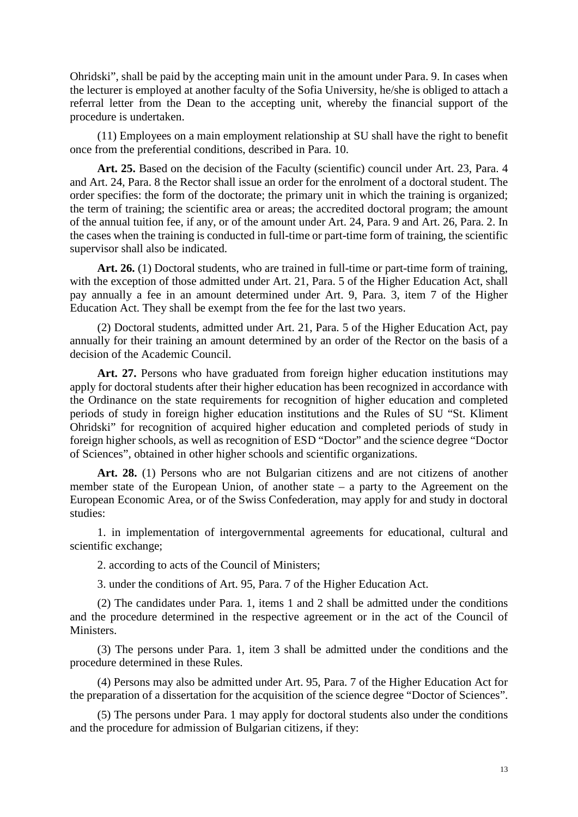Ohridski", shall be paid by the accepting main unit in the amount under Para. 9. In cases when the lecturer is employed at another faculty of the Sofia University, he/she is obliged to attach a referral letter from the Dean to the accepting unit, whereby the financial support of the procedure is undertaken.

(11) Employees on a main employment relationship at SU shall have the right to benefit once from the preferential conditions, described in Para. 10.

**Art. 25.** Based on the decision of the Faculty (scientific) council under Art. 23, Para. 4 and Art. 24, Para. 8 the Rector shall issue an order for the enrolment of a doctoral student. The order specifies: the form of the doctorate; the primary unit in which the training is organized; the term of training; the scientific area or areas; the accredited doctoral program; the amount of the annual tuition fee, if any, or of the amount under Art. 24, Para. 9 and Art. 26, Para. 2. In the cases when the training is conducted in full-time or part-time form of training, the scientific supervisor shall also be indicated.

Art. 26. (1) Doctoral students, who are trained in full-time or part-time form of training, with the exception of those admitted under Art. 21, Para. 5 of the Higher Education Act, shall pay annually a fee in an amount determined under Art. 9, Para. 3, item 7 of the Higher Education Act. They shall be exempt from the fee for the last two years.

(2) Doctoral students, admitted under Art. 21, Para. 5 of the Higher Education Act, pay annually for their training an amount determined by an order of the Rector on the basis of a decision of the Academic Council.

**Art. 27.** Persons who have graduated from foreign higher education institutions may apply for doctoral students after their higher education has been recognized in accordance with the Ordinance on the state requirements for recognition of higher education and completed periods of study in foreign higher education institutions and the Rules of SU "St. Kliment Ohridski" for recognition of acquired higher education and completed periods of study in foreign higher schools, as well as recognition of ESD "Doctor" and the science degree "Doctor of Sciences", obtained in other higher schools and scientific organizations.

Art. 28. (1) Persons who are not Bulgarian citizens and are not citizens of another member state of the European Union, of another state – a party to the Agreement on the European Economic Area, or of the Swiss Confederation, may apply for and study in doctoral studies:

1. in implementation of intergovernmental agreements for educational, cultural and scientific exchange;

2. according to acts of the Council of Ministers;

3. under the conditions of Art. 95, Para. 7 of the Higher Education Act.

(2) The candidates under Para. 1, items 1 and 2 shall be admitted under the conditions and the procedure determined in the respective agreement or in the act of the Council of Ministers.

(3) The persons under Para. 1, item 3 shall be admitted under the conditions and the procedure determined in these Rules.

(4) Persons may also be admitted under Art. 95, Para. 7 of the Higher Education Act for the preparation of a dissertation for the acquisition of the science degree "Doctor of Sciences".

(5) The persons under Para. 1 may apply for doctoral students also under the conditions and the procedure for admission of Bulgarian citizens, if they: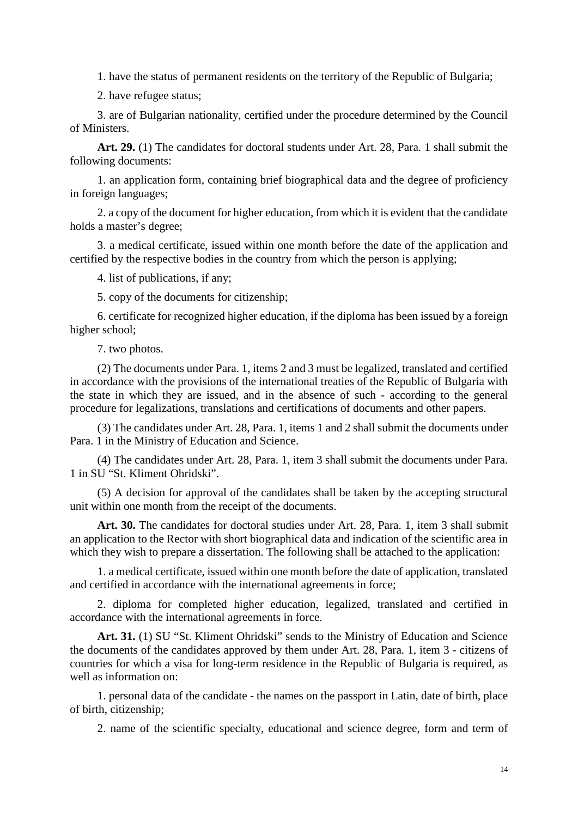1. have the status of permanent residents on the territory of the Republic of Bulgaria;

2. have refugee status;

3. are of Bulgarian nationality, certified under the procedure determined by the Council of Ministers.

**Art. 29.** (1) The candidates for doctoral students under Art. 28, Para. 1 shall submit the following documents:

1. an application form, containing brief biographical data and the degree of proficiency in foreign languages;

2. a copy of the document for higher education, from which it is evident that the candidate holds a master's degree;

3. a medical certificate, issued within one month before the date of the application and certified by the respective bodies in the country from which the person is applying;

4. list of publications, if any;

5. copy of the documents for citizenship;

6. certificate for recognized higher education, if the diploma has been issued by a foreign higher school;

7. two photos.

(2) The documents under Para. 1, items 2 and 3 must be legalized, translated and certified in accordance with the provisions of the international treaties of the Republic of Bulgaria with the state in which they are issued, and in the absence of such - according to the general procedure for legalizations, translations and certifications of documents and other papers.

(3) The candidates under Art. 28, Para. 1, items 1 and 2 shall submit the documents under Para. 1 in the Ministry of Education and Science.

(4) The candidates under Art. 28, Para. 1, item 3 shall submit the documents under Para. 1 in SU "St. Kliment Ohridski".

(5) A decision for approval of the candidates shall be taken by the accepting structural unit within one month from the receipt of the documents.

Art. 30. The candidates for doctoral studies under Art. 28, Para. 1, item 3 shall submit an application to the Rector with short biographical data and indication of the scientific area in which they wish to prepare a dissertation. The following shall be attached to the application:

1. a medical certificate, issued within one month before the date of application, translated and certified in accordance with the international agreements in force;

2. diploma for completed higher education, legalized, translated and certified in accordance with the international agreements in force.

**Art. 31.** (1) SU "St. Kliment Ohridski" sends to the Ministry of Education and Science the documents of the candidates approved by them under Art. 28, Para. 1, item 3 - citizens of countries for which a visa for long-term residence in the Republic of Bulgaria is required, as well as information on:

1. personal data of the candidate - the names on the passport in Latin, date of birth, place of birth, citizenship;

2. name of the scientific specialty, educational and science degree, form and term of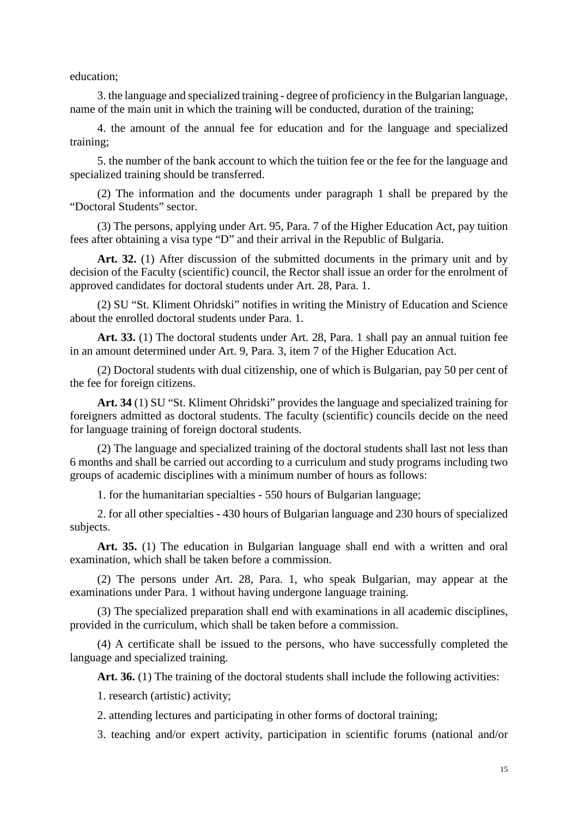education;

3. the language and specialized training - degree of proficiency in the Bulgarian language, name of the main unit in which the training will be conducted, duration of the training;

4. the amount of the annual fee for education and for the language and specialized training;

5. the number of the bank account to which the tuition fee or the fee for the language and specialized training should be transferred.

(2) The information and the documents under paragraph 1 shall be prepared by the "Doctoral Students" sector.

(3) The persons, applying under Art. 95, Para. 7 of the Higher Education Act, pay tuition fees after obtaining a visa type "D" and their arrival in the Republic of Bulgaria.

Art. 32. (1) After discussion of the submitted documents in the primary unit and by decision of the Faculty (scientific) council, the Rector shall issue an order for the enrolment of approved candidates for doctoral students under Art. 28, Para. 1.

(2) SU "St. Kliment Ohridski" notifies in writing the Ministry of Education and Science about the enrolled doctoral students under Para. 1.

**Art. 33.** (1) The doctoral students under Art. 28, Para. 1 shall pay an annual tuition fee in an amount determined under Art. 9, Para. 3, item 7 of the Higher Education Act.

(2) Doctoral students with dual citizenship, one of which is Bulgarian, pay 50 per cent of the fee for foreign citizens.

**Art. 34** (1) SU "St. Kliment Ohridski" provides the language and specialized training for foreigners admitted as doctoral students. The faculty (scientific) councils decide on the need for language training of foreign doctoral students.

(2) The language and specialized training of the doctoral students shall last not less than 6 months and shall be carried out according to a curriculum and study programs including two groups of academic disciplines with a minimum number of hours as follows:

1. for the humanitarian specialties - 550 hours of Bulgarian language;

2. for all other specialties - 430 hours of Bulgarian language and 230 hours of specialized subjects.

**Art. 35.** (1) The education in Bulgarian language shall end with a written and oral examination, which shall be taken before a commission.

(2) The persons under Art. 28, Para. 1, who speak Bulgarian, may appear at the examinations under Para. 1 without having undergone language training.

(3) The specialized preparation shall end with examinations in all academic disciplines, provided in the curriculum, which shall be taken before a commission.

(4) A certificate shall be issued to the persons, who have successfully completed the language and specialized training.

Art. 36. (1) The training of the doctoral students shall include the following activities:

1. research (artistic) activity;

2. attending lectures and participating in other forms of doctoral training;

3. teaching and/or expert activity, participation in scientific forums (national and/or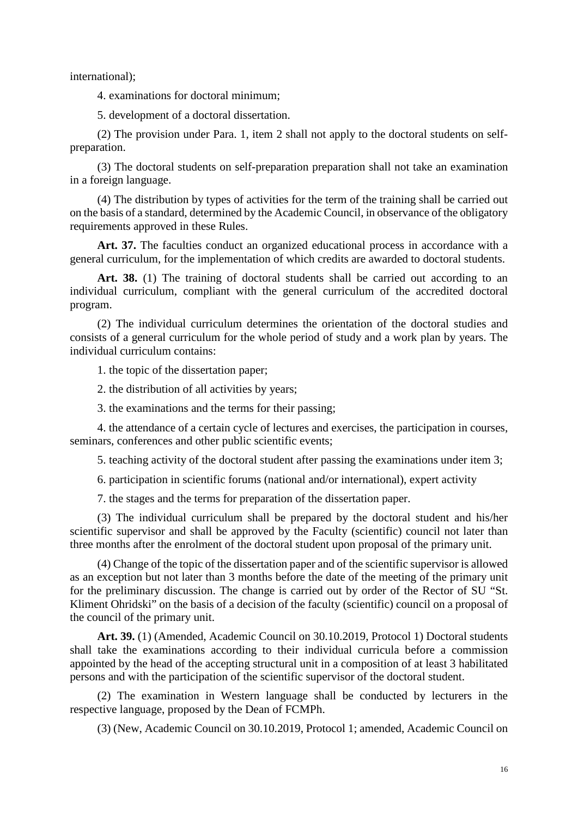international);

4. examinations for doctoral minimum;

5. development of a doctoral dissertation.

(2) The provision under Para. 1, item 2 shall not apply to the doctoral students on selfpreparation.

(3) The doctoral students on self-preparation preparation shall not take an examination in a foreign language.

(4) The distribution by types of activities for the term of the training shall be carried out on the basis of a standard, determined by the Academic Council, in observance of the obligatory requirements approved in these Rules.

Art. 37. The faculties conduct an organized educational process in accordance with a general curriculum, for the implementation of which credits are awarded to doctoral students.

Art. 38. (1) The training of doctoral students shall be carried out according to an individual curriculum, compliant with the general curriculum of the accredited doctoral program.

(2) The individual curriculum determines the orientation of the doctoral studies and consists of a general curriculum for the whole period of study and a work plan by years. The individual curriculum contains:

1. the topic of the dissertation paper;

2. the distribution of all activities by years;

3. the examinations and the terms for their passing;

4. the attendance of a certain cycle of lectures and exercises, the participation in courses, seminars, conferences and other public scientific events;

5. teaching activity of the doctoral student after passing the examinations under item 3;

6. participation in scientific forums (national and/or international), expert activity

7. the stages and the terms for preparation of the dissertation paper.

(3) The individual curriculum shall be prepared by the doctoral student and his/her scientific supervisor and shall be approved by the Faculty (scientific) council not later than three months after the enrolment of the doctoral student upon proposal of the primary unit.

(4) Change of the topic of the dissertation paper and of the scientific supervisor is allowed as an exception but not later than 3 months before the date of the meeting of the primary unit for the preliminary discussion. The change is carried out by order of the Rector of SU "St. Kliment Ohridski" on the basis of a decision of the faculty (scientific) council on a proposal of the council of the primary unit.

**Art. 39.** (1) (Amended, Academic Council on 30.10.2019, Protocol 1) Doctoral students shall take the examinations according to their individual curricula before a commission appointed by the head of the accepting structural unit in a composition of at least 3 habilitated persons and with the participation of the scientific supervisor of the doctoral student.

(2) The examination in Western language shall be conducted by lecturers in the respective language, proposed by the Dean of FCMPh.

(3) (New, Academic Council on 30.10.2019, Protocol 1; amended, Academic Council on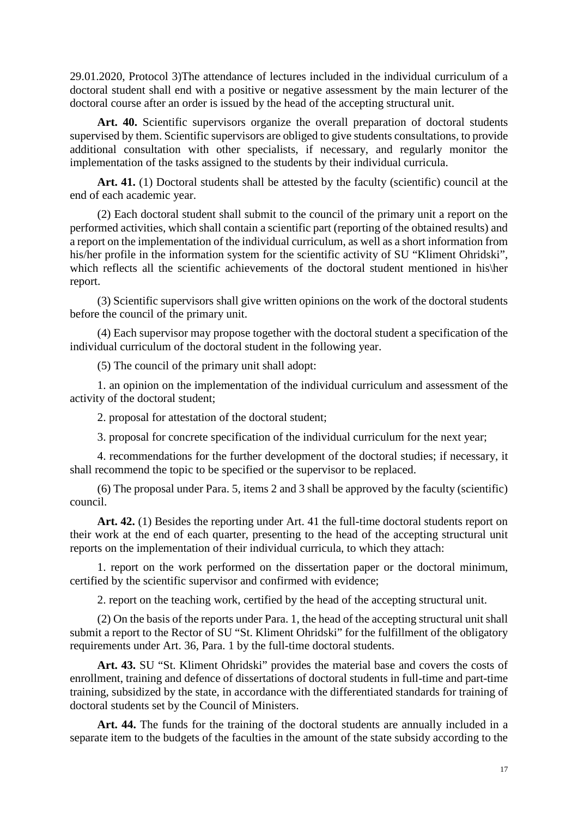29.01.2020, Protocol 3)The attendance of lectures included in the individual curriculum of a doctoral student shall end with a positive or negative assessment by the main lecturer of the doctoral course after an order is issued by the head of the accepting structural unit.

Art. 40. Scientific supervisors organize the overall preparation of doctoral students supervised by them. Scientific supervisors are obliged to give students consultations, to provide additional consultation with other specialists, if necessary, and regularly monitor the implementation of the tasks assigned to the students by their individual curricula.

Art. 41. (1) Doctoral students shall be attested by the faculty (scientific) council at the end of each academic year.

(2) Each doctoral student shall submit to the council of the primary unit a report on the performed activities, which shall contain a scientific part (reporting of the obtained results) and a report on the implementation of the individual curriculum, as well as a short information from his/her profile in the information system for the scientific activity of SU "Kliment Ohridski", which reflects all the scientific achievements of the doctoral student mentioned in his\her report.

(3) Scientific supervisors shall give written opinions on the work of the doctoral students before the council of the primary unit.

(4) Each supervisor may propose together with the doctoral student a specification of the individual curriculum of the doctoral student in the following year.

(5) The council of the primary unit shall adopt:

1. an opinion on the implementation of the individual curriculum and assessment of the activity of the doctoral student;

2. proposal for attestation of the doctoral student;

3. proposal for concrete specification of the individual curriculum for the next year;

4. recommendations for the further development of the doctoral studies; if necessary, it shall recommend the topic to be specified or the supervisor to be replaced.

(6) The proposal under Para. 5, items 2 and 3 shall be approved by the faculty (scientific) council.

Art. 42. (1) Besides the reporting under Art. 41 the full-time doctoral students report on their work at the end of each quarter, presenting to the head of the accepting structural unit reports on the implementation of their individual curricula, to which they attach:

1. report on the work performed on the dissertation paper or the doctoral minimum, certified by the scientific supervisor and confirmed with evidence;

2. report on the teaching work, certified by the head of the accepting structural unit.

(2) On the basis of the reports under Para. 1, the head of the accepting structural unit shall submit a report to the Rector of SU "St. Kliment Ohridski" for the fulfillment of the obligatory requirements under Art. 36, Para. 1 by the full-time doctoral students.

**Art. 43.** SU "St. Kliment Ohridski" provides the material base and covers the costs of enrollment, training and defence of dissertations of doctoral students in full-time and part-time training, subsidized by the state, in accordance with the differentiated standards for training of doctoral students set by the Council of Ministers.

**Art. 44.** The funds for the training of the doctoral students are annually included in a separate item to the budgets of the faculties in the amount of the state subsidy according to the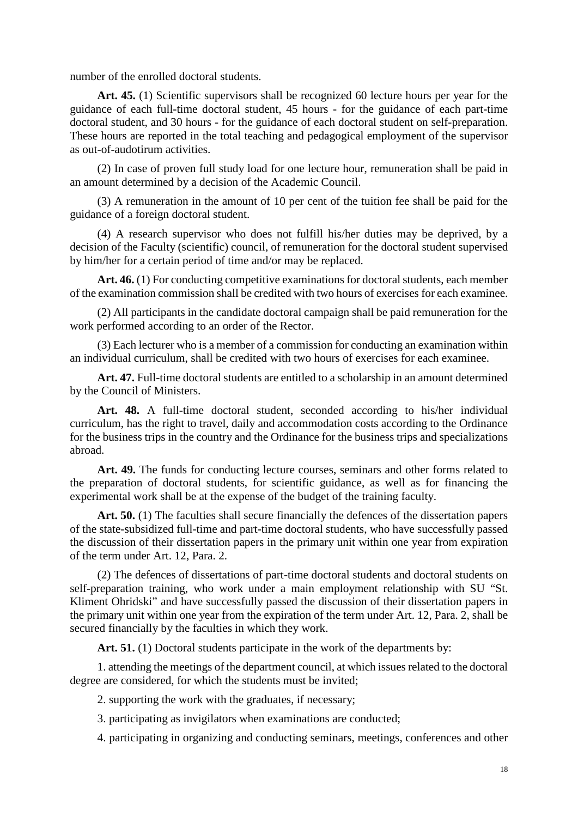number of the enrolled doctoral students.

**Art. 45.** (1) Scientific supervisors shall be recognized 60 lecture hours per year for the guidance of each full-time doctoral student, 45 hours - for the guidance of each part-time doctoral student, and 30 hours - for the guidance of each doctoral student on self-preparation. These hours are reported in the total teaching and pedagogical employment of the supervisor as out-of-audotirum activities.

(2) In case of proven full study load for one lecture hour, remuneration shall be paid in an amount determined by a decision of the Academic Council.

(3) A remuneration in the amount of 10 per cent of the tuition fee shall be paid for the guidance of a foreign doctoral student.

(4) A research supervisor who does not fulfill his/her duties may be deprived, by a decision of the Faculty (scientific) council, of remuneration for the doctoral student supervised by him/her for a certain period of time and/or may be replaced.

**Art. 46.** (1) For conducting competitive examinations for doctoral students, each member of the examination commission shall be credited with two hours of exercises for each examinee.

(2) All participants in the candidate doctoral campaign shall be paid remuneration for the work performed according to an order of the Rector.

(3) Each lecturer who is a member of a commission for conducting an examination within an individual curriculum, shall be credited with two hours of exercises for each examinee.

**Art. 47.** Full-time doctoral students are entitled to a scholarship in an amount determined by the Council of Ministers.

**Art. 48.** A full-time doctoral student, seconded according to his/her individual curriculum, has the right to travel, daily and accommodation costs according to the Ordinance for the business trips in the country and the Ordinance for the business trips and specializations abroad.

Art. 49. The funds for conducting lecture courses, seminars and other forms related to the preparation of doctoral students, for scientific guidance, as well as for financing the experimental work shall be at the expense of the budget of the training faculty.

Art. 50. (1) The faculties shall secure financially the defences of the dissertation papers of the state-subsidized full-time and part-time doctoral students, who have successfully passed the discussion of their dissertation papers in the primary unit within one year from expiration of the term under Art. 12, Para. 2.

(2) The defences of dissertations of part-time doctoral students and doctoral students on self-preparation training, who work under a main employment relationship with SU "St. Kliment Ohridski" and have successfully passed the discussion of their dissertation papers in the primary unit within one year from the expiration of the term under Art. 12, Para. 2, shall be secured financially by the faculties in which they work.

Art. 51. (1) Doctoral students participate in the work of the departments by:

1. attending the meetings of the department council, at which issues related to the doctoral degree are considered, for which the students must be invited;

2. supporting the work with the graduates, if necessary;

3. participating as invigilators when examinations are conducted;

4. participating in organizing and conducting seminars, meetings, conferences and other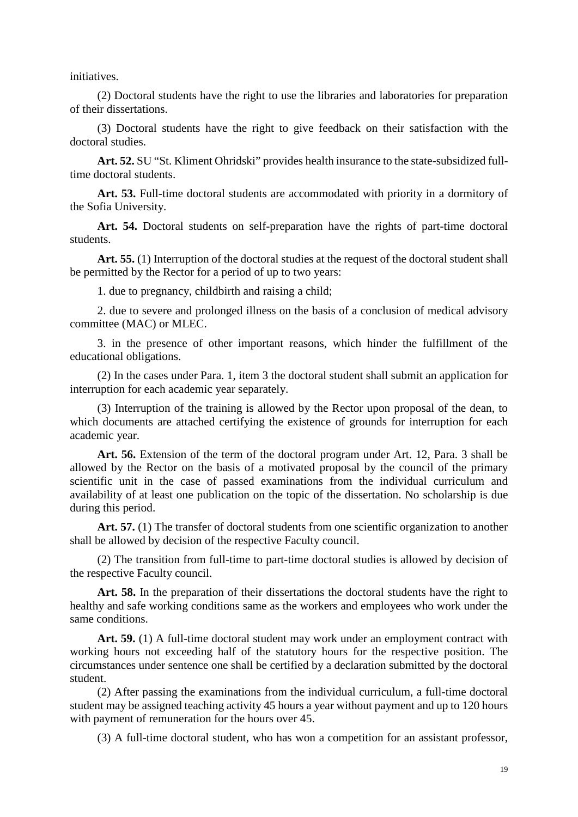initiatives.

(2) Doctoral students have the right to use the libraries and laboratories for preparation of their dissertations.

(3) Doctoral students have the right to give feedback on their satisfaction with the doctoral studies.

**Art. 52.** SU "St. Kliment Ohridski" provides health insurance to the state-subsidized fulltime doctoral students.

Art. 53. Full-time doctoral students are accommodated with priority in a dormitory of the Sofia University.

**Art. 54.** Doctoral students on self-preparation have the rights of part-time doctoral students.

Art. 55. (1) Interruption of the doctoral studies at the request of the doctoral student shall be permitted by the Rector for a period of up to two years:

1. due to pregnancy, childbirth and raising a child;

2. due to severe and prolonged illness on the basis of a conclusion of medical advisory committee (MAC) or MLEC.

3. in the presence of other important reasons, which hinder the fulfillment of the educational obligations.

(2) In the cases under Para. 1, item 3 the doctoral student shall submit an application for interruption for each academic year separately.

(3) Interruption of the training is allowed by the Rector upon proposal of the dean, to which documents are attached certifying the existence of grounds for interruption for each academic year.

**Art. 56.** Extension of the term of the doctoral program under Art. 12, Para. 3 shall be allowed by the Rector on the basis of a motivated proposal by the council of the primary scientific unit in the case of passed examinations from the individual curriculum and availability of at least one publication on the topic of the dissertation. No scholarship is due during this period.

Art. 57. (1) The transfer of doctoral students from one scientific organization to another shall be allowed by decision of the respective Faculty council.

(2) The transition from full-time to part-time doctoral studies is allowed by decision of the respective Faculty council.

Art. 58. In the preparation of their dissertations the doctoral students have the right to healthy and safe working conditions same as the workers and employees who work under the same conditions.

**Art. 59.** (1) A full-time doctoral student may work under an employment contract with working hours not exceeding half of the statutory hours for the respective position. The circumstances under sentence one shall be certified by a declaration submitted by the doctoral student.

(2) After passing the examinations from the individual curriculum, a full-time doctoral student may be assigned teaching activity 45 hours a year without payment and up to 120 hours with payment of remuneration for the hours over 45.

(3) A full-time doctoral student, who has won a competition for an assistant professor,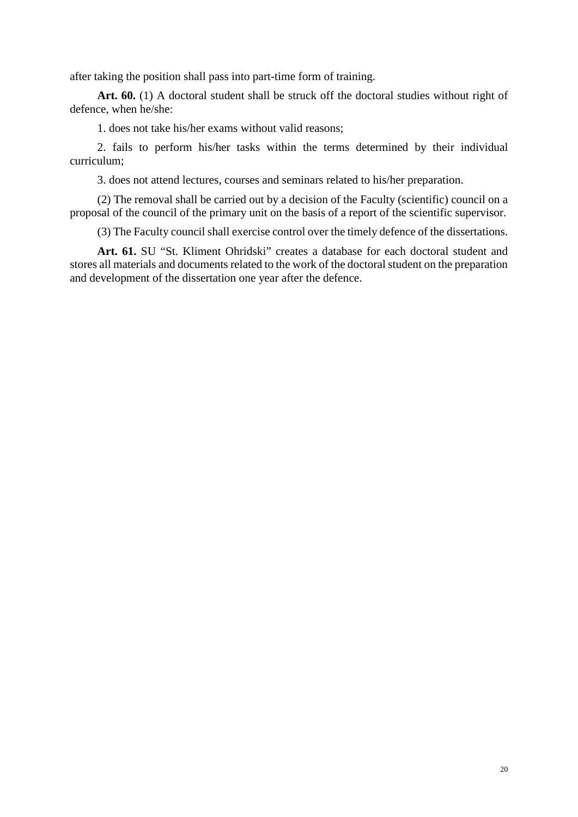after taking the position shall pass into part-time form of training.

Art. 60. (1) A doctoral student shall be struck off the doctoral studies without right of defence, when he/she:

1. does not take his/her exams without valid reasons;

2. fails to perform his/her tasks within the terms determined by their individual curriculum;

3. does not attend lectures, courses and seminars related to his/her preparation.

(2) The removal shall be carried out by a decision of the Faculty (scientific) council on a proposal of the council of the primary unit on the basis of a report of the scientific supervisor.

(3) The Faculty council shall exercise control over the timely defence of the dissertations.

**Art. 61.** SU "St. Kliment Ohridski" creates a database for each doctoral student and stores all materials and documents related to the work of the doctoral student on the preparation and development of the dissertation one year after the defence.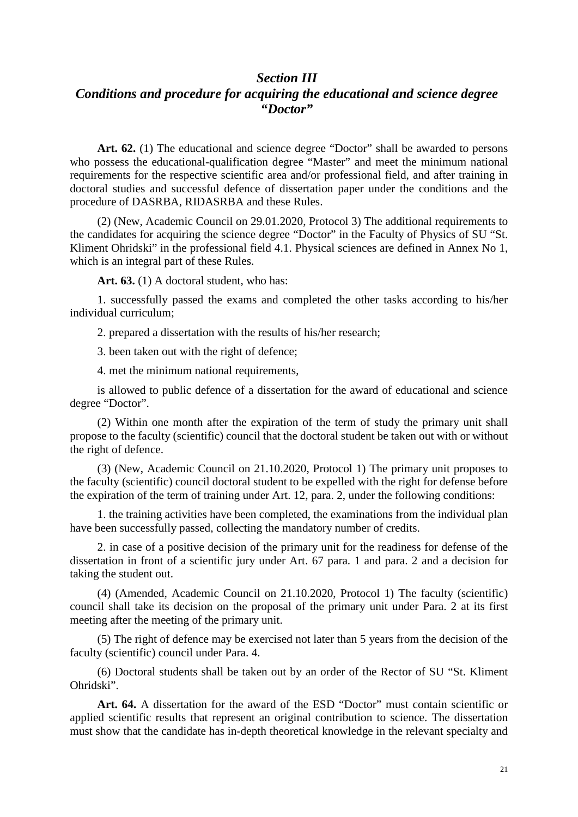### *Section III Conditions and procedure for acquiring the educational and science degree "Doctor"*

Art. 62. (1) The educational and science degree "Doctor" shall be awarded to persons who possess the educational-qualification degree "Master" and meet the minimum national requirements for the respective scientific area and/or professional field, and after training in doctoral studies and successful defence of dissertation paper under the conditions and the procedure of DASRBA, RIDASRBA and these Rules.

(2) (New, Academic Council on 29.01.2020, Protocol 3) The additional requirements to the candidates for acquiring the science degree "Doctor" in the Faculty of Physics of SU "St. Kliment Ohridski" in the professional field 4.1. Physical sciences are defined in Annex No 1, which is an integral part of these Rules.

Art. 63. (1) A doctoral student, who has:

1. successfully passed the exams and completed the other tasks according to his/her individual curriculum;

2. prepared a dissertation with the results of his/her research;

3. been taken out with the right of defence;

4. met the minimum national requirements,

is allowed to public defence of a dissertation for the award of educational and science degree "Doctor".

(2) Within one month after the expiration of the term of study the primary unit shall propose to the faculty (scientific) council that the doctoral student be taken out with or without the right of defence.

(3) (New, Academic Council on 21.10.2020, Protocol 1) The primary unit proposes to the faculty (scientific) council doctoral student to be expelled with the right for defense before the expiration of the term of training under Art. 12, para. 2, under the following conditions:

1. the training activities have been completed, the examinations from the individual plan have been successfully passed, collecting the mandatory number of credits.

2. in case of a positive decision of the primary unit for the readiness for defense of the dissertation in front of a scientific jury under Art. 67 para. 1 and para. 2 and a decision for taking the student out.

(4) (Amended, Academic Council on 21.10.2020, Protocol 1) The faculty (scientific) council shall take its decision on the proposal of the primary unit under Para. 2 at its first meeting after the meeting of the primary unit.

(5) The right of defence may be exercised not later than 5 years from the decision of the faculty (scientific) council under Para. 4.

(6) Doctoral students shall be taken out by an order of the Rector of SU "St. Kliment Ohridski".

**Art. 64.** A dissertation for the award of the ESD "Doctor" must contain scientific or applied scientific results that represent an original contribution to science. The dissertation must show that the candidate has in-depth theoretical knowledge in the relevant specialty and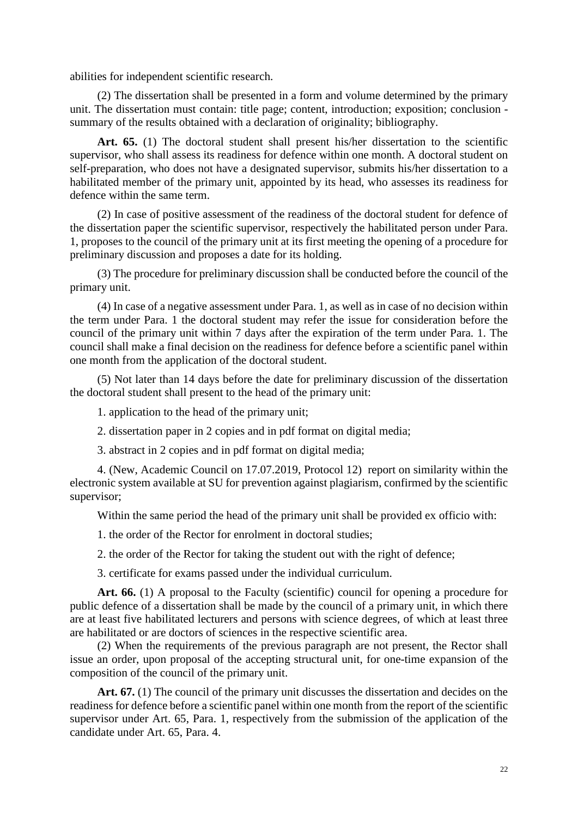abilities for independent scientific research.

(2) The dissertation shall be presented in a form and volume determined by the primary unit. The dissertation must contain: title page; content, introduction; exposition; conclusion summary of the results obtained with a declaration of originality; bibliography.

Art. 65. (1) The doctoral student shall present his/her dissertation to the scientific supervisor, who shall assess its readiness for defence within one month. A doctoral student on self-preparation, who does not have a designated supervisor, submits his/her dissertation to a habilitated member of the primary unit, appointed by its head, who assesses its readiness for defence within the same term.

(2) In case of positive assessment of the readiness of the doctoral student for defence of the dissertation paper the scientific supervisor, respectively the habilitated person under Para. 1, proposes to the council of the primary unit at its first meeting the opening of a procedure for preliminary discussion and proposes a date for its holding.

(3) The procedure for preliminary discussion shall be conducted before the council of the primary unit.

(4) In case of a negative assessment under Para. 1, as well as in case of no decision within the term under Para. 1 the doctoral student may refer the issue for consideration before the council of the primary unit within 7 days after the expiration of the term under Para. 1. The council shall make a final decision on the readiness for defence before a scientific panel within one month from the application of the doctoral student.

(5) Not later than 14 days before the date for preliminary discussion of the dissertation the doctoral student shall present to the head of the primary unit:

1. application to the head of the primary unit;

2. dissertation paper in 2 copies and in pdf format on digital media;

3. abstract in 2 copies and in pdf format on digital media;

4. (New, Academic Council on 17.07.2019, Protocol 12) report on similarity within the electronic system available at SU for prevention against plagiarism, confirmed by the scientific supervisor;

Within the same period the head of the primary unit shall be provided ex officio with:

1. the order of the Rector for enrolment in doctoral studies;

2. the order of the Rector for taking the student out with the right of defence;

3. certificate for exams passed under the individual curriculum.

Art. 66. (1) A proposal to the Faculty (scientific) council for opening a procedure for public defence of a dissertation shall be made by the council of a primary unit, in which there are at least five habilitated lecturers and persons with science degrees, of which at least three are habilitated or are doctors of sciences in the respective scientific area.

(2) When the requirements of the previous paragraph are not present, the Rector shall issue an order, upon proposal of the accepting structural unit, for one-time expansion of the composition of the council of the primary unit.

Art. 67. (1) The council of the primary unit discusses the dissertation and decides on the readiness for defence before a scientific panel within one month from the report of the scientific supervisor under Art. 65, Para. 1, respectively from the submission of the application of the candidate under Art. 65, Para. 4.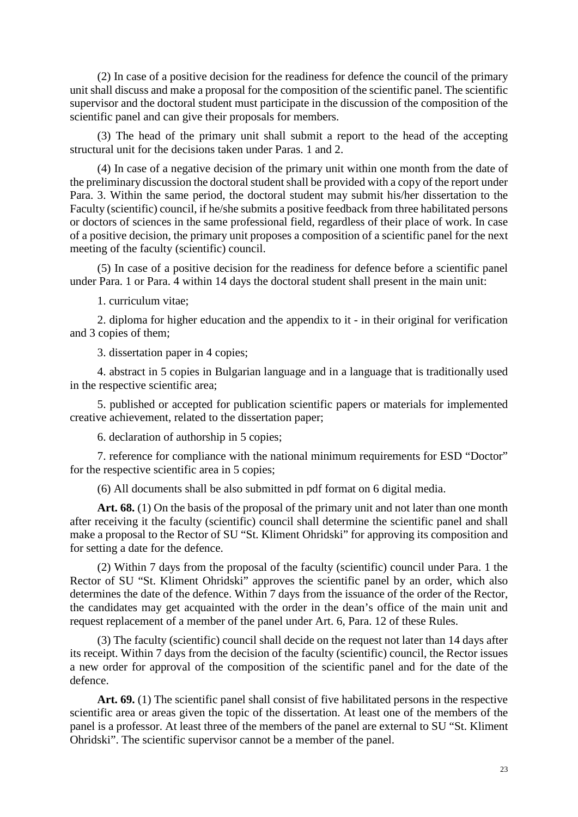(2) In case of a positive decision for the readiness for defence the council of the primary unit shall discuss and make a proposal for the composition of the scientific panel. The scientific supervisor and the doctoral student must participate in the discussion of the composition of the scientific panel and can give their proposals for members.

(3) The head of the primary unit shall submit a report to the head of the accepting structural unit for the decisions taken under Paras. 1 and 2.

(4) In case of a negative decision of the primary unit within one month from the date of the preliminary discussion the doctoral student shall be provided with a copy of the report under Para. 3. Within the same period, the doctoral student may submit his/her dissertation to the Faculty (scientific) council, if he/she submits a positive feedback from three habilitated persons or doctors of sciences in the same professional field, regardless of their place of work. In case of a positive decision, the primary unit proposes a composition of a scientific panel for the next meeting of the faculty (scientific) council.

(5) In case of a positive decision for the readiness for defence before a scientific panel under Para. 1 or Para. 4 within 14 days the doctoral student shall present in the main unit:

1. curriculum vitae;

2. diploma for higher education and the appendix to it - in their original for verification and 3 copies of them;

3. dissertation paper in 4 copies;

4. abstract in 5 copies in Bulgarian language and in a language that is traditionally used in the respective scientific area;

5. published or accepted for publication scientific papers or materials for implemented creative achievement, related to the dissertation paper;

6. declaration of authorship in 5 copies;

7. reference for compliance with the national minimum requirements for ESD "Doctor" for the respective scientific area in 5 copies;

(6) All documents shall be also submitted in pdf format on 6 digital media.

Art. 68. (1) On the basis of the proposal of the primary unit and not later than one month after receiving it the faculty (scientific) council shall determine the scientific panel and shall make a proposal to the Rector of SU "St. Kliment Ohridski" for approving its composition and for setting a date for the defence.

(2) Within 7 days from the proposal of the faculty (scientific) council under Para. 1 the Rector of SU "St. Kliment Ohridski" approves the scientific panel by an order, which also determines the date of the defence. Within 7 days from the issuance of the order of the Rector, the candidates may get acquainted with the order in the dean's office of the main unit and request replacement of a member of the panel under Art. 6, Para. 12 of these Rules.

(3) The faculty (scientific) council shall decide on the request not later than 14 days after its receipt. Within 7 days from the decision of the faculty (scientific) council, the Rector issues a new order for approval of the composition of the scientific panel and for the date of the defence.

Art. 69. (1) The scientific panel shall consist of five habilitated persons in the respective scientific area or areas given the topic of the dissertation. At least one of the members of the panel is a professor. At least three of the members of the panel are external to SU "St. Kliment Ohridski". The scientific supervisor cannot be a member of the panel.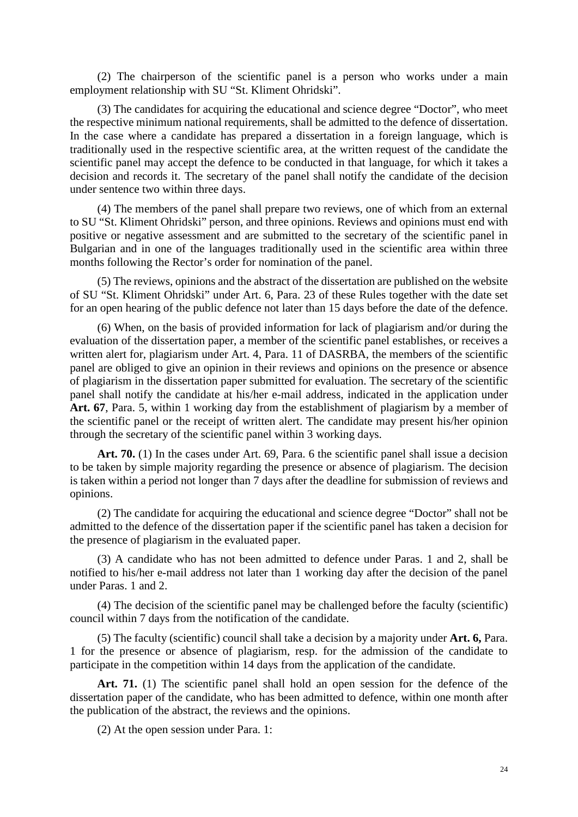(2) The chairperson of the scientific panel is a person who works under a main employment relationship with SU "St. Kliment Ohridski".

(3) The candidates for acquiring the educational and science degree "Doctor", who meet the respective minimum national requirements, shall be admitted to the defence of dissertation. In the case where a candidate has prepared a dissertation in a foreign language, which is traditionally used in the respective scientific area, at the written request of the candidate the scientific panel may accept the defence to be conducted in that language, for which it takes a decision and records it. The secretary of the panel shall notify the candidate of the decision under sentence two within three days.

(4) The members of the panel shall prepare two reviews, one of which from an external to SU "St. Kliment Ohridski" person, and three opinions. Reviews and opinions must end with positive or negative assessment and are submitted to the secretary of the scientific panel in Bulgarian and in one of the languages traditionally used in the scientific area within three months following the Rector's order for nomination of the panel.

(5) The reviews, opinions and the abstract of the dissertation are published on the website of SU "St. Kliment Ohridski" under Art. 6, Para. 23 of these Rules together with the date set for an open hearing of the public defence not later than 15 days before the date of the defence.

(6) When, on the basis of provided information for lack of plagiarism and/or during the evaluation of the dissertation paper, a member of the scientific panel establishes, or receives a written alert for, plagiarism under Art. 4, Para. 11 of DASRBA, the members of the scientific panel are obliged to give an opinion in their reviews and opinions on the presence or absence of plagiarism in the dissertation paper submitted for evaluation. The secretary of the scientific panel shall notify the candidate at his/her e-mail address, indicated in the application under **Art. 67**, Para. 5, within 1 working day from the establishment of plagiarism by a member of the scientific panel or the receipt of written alert. The candidate may present his/her opinion through the secretary of the scientific panel within 3 working days.

Art. 70. (1) In the cases under Art. 69, Para. 6 the scientific panel shall issue a decision to be taken by simple majority regarding the presence or absence of plagiarism. The decision is taken within a period not longer than 7 days after the deadline for submission of reviews and opinions.

(2) The candidate for acquiring the educational and science degree "Doctor" shall not be admitted to the defence of the dissertation paper if the scientific panel has taken a decision for the presence of plagiarism in the evaluated paper.

(3) A candidate who has not been admitted to defence under Paras. 1 and 2, shall be notified to his/her e-mail address not later than 1 working day after the decision of the panel under Paras. 1 and 2.

(4) The decision of the scientific panel may be challenged before the faculty (scientific) council within 7 days from the notification of the candidate.

(5) The faculty (scientific) council shall take a decision by a majority under **Art. 6,** Para. 1 for the presence or absence of plagiarism, resp. for the admission of the candidate to participate in the competition within 14 days from the application of the candidate.

Art. 71. (1) The scientific panel shall hold an open session for the defence of the dissertation paper of the candidate, who has been admitted to defence, within one month after the publication of the abstract, the reviews and the opinions.

(2) At the open session under Para. 1: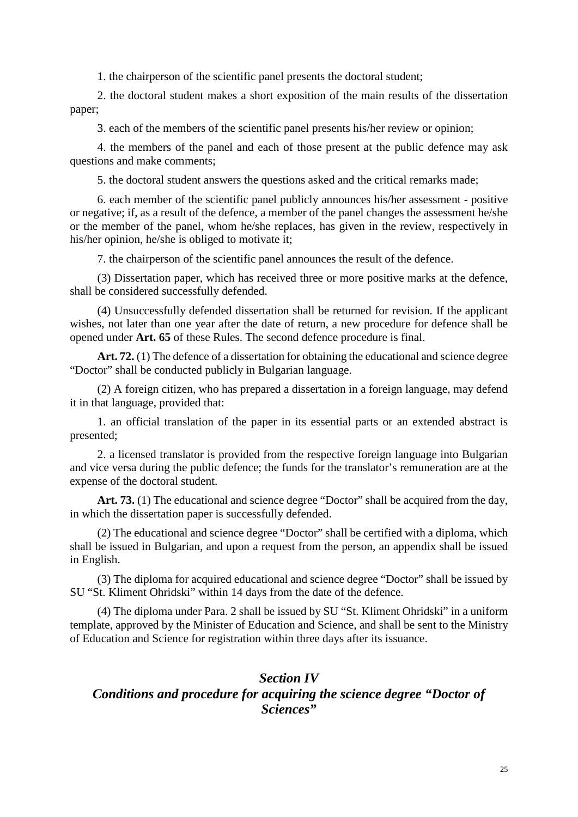1. the chairperson of the scientific panel presents the doctoral student;

2. the doctoral student makes a short exposition of the main results of the dissertation paper;

3. each of the members of the scientific panel presents his/her review or opinion;

4. the members of the panel and each of those present at the public defence may ask questions and make comments;

5. the doctoral student answers the questions asked and the critical remarks made;

6. each member of the scientific panel publicly announces his/her assessment - positive or negative; if, as a result of the defence, a member of the panel changes the assessment he/she or the member of the panel, whom he/she replaces, has given in the review, respectively in his/her opinion, he/she is obliged to motivate it;

7. the chairperson of the scientific panel announces the result of the defence.

(3) Dissertation paper, which has received three or more positive marks at the defence, shall be considered successfully defended.

(4) Unsuccessfully defended dissertation shall be returned for revision. If the applicant wishes, not later than one year after the date of return, a new procedure for defence shall be opened under **Art. 65** of these Rules. The second defence procedure is final.

**Art. 72.** (1) The defence of a dissertation for obtaining the educational and science degree "Doctor" shall be conducted publicly in Bulgarian language.

(2) A foreign citizen, who has prepared a dissertation in a foreign language, may defend it in that language, provided that:

1. an official translation of the paper in its essential parts or an extended abstract is presented;

2. a licensed translator is provided from the respective foreign language into Bulgarian and vice versa during the public defence; the funds for the translator's remuneration are at the expense of the doctoral student.

Art. 73. (1) The educational and science degree "Doctor" shall be acquired from the day, in which the dissertation paper is successfully defended.

(2) The educational and science degree "Doctor" shall be certified with a diploma, which shall be issued in Bulgarian, and upon a request from the person, an appendix shall be issued in English.

(3) The diploma for acquired educational and science degree "Doctor" shall be issued by SU "St. Kliment Ohridski" within 14 days from the date of the defence.

(4) The diploma under Para. 2 shall be issued by SU "St. Kliment Ohridski" in a uniform template, approved by the Minister of Education and Science, and shall be sent to the Ministry of Education and Science for registration within three days after its issuance.

#### *Section IV*

## *Conditions and procedure for acquiring the science degree "Doctor of Sciences"*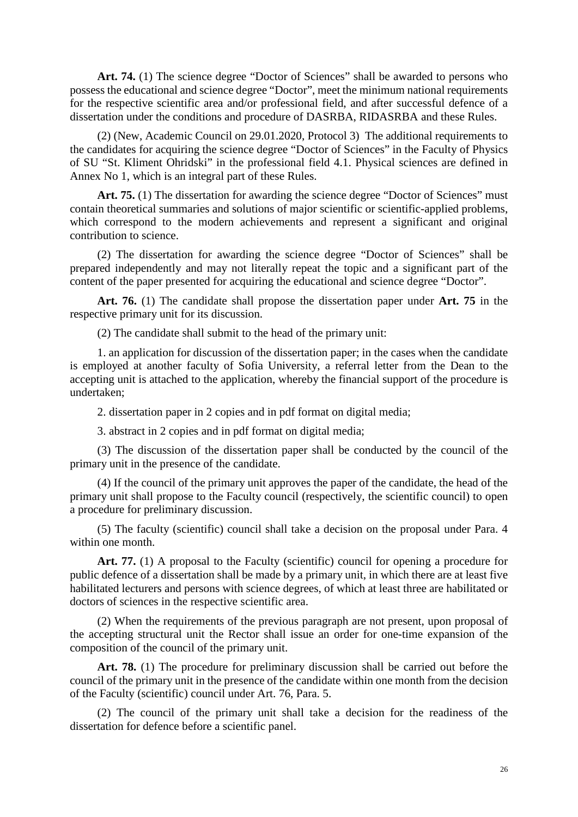Art. 74. (1) The science degree "Doctor of Sciences" shall be awarded to persons who possess the educational and science degree "Doctor", meet the minimum national requirements for the respective scientific area and/or professional field, and after successful defence of a dissertation under the conditions and procedure of DASRBA, RIDASRBA and these Rules.

(2) (New, Academic Council on 29.01.2020, Protocol 3) The additional requirements to the candidates for acquiring the science degree "Doctor of Sciences" in the Faculty of Physics of SU "St. Kliment Ohridski" in the professional field 4.1. Physical sciences are defined in Annex No 1, which is an integral part of these Rules.

Art. 75. (1) The dissertation for awarding the science degree "Doctor of Sciences" must contain theoretical summaries and solutions of major scientific or scientific-applied problems, which correspond to the modern achievements and represent a significant and original contribution to science.

(2) The dissertation for awarding the science degree "Doctor of Sciences" shall be prepared independently and may not literally repeat the topic and a significant part of the content of the paper presented for acquiring the educational and science degree "Doctor".

**Art. 76.** (1) The candidate shall propose the dissertation paper under **Art. 75** in the respective primary unit for its discussion.

(2) The candidate shall submit to the head of the primary unit:

1. an application for discussion of the dissertation paper; in the cases when the candidate is employed at another faculty of Sofia University, a referral letter from the Dean to the accepting unit is attached to the application, whereby the financial support of the procedure is undertaken;

2. dissertation paper in 2 copies and in pdf format on digital media;

3. abstract in 2 copies and in pdf format on digital media;

(3) The discussion of the dissertation paper shall be conducted by the council of the primary unit in the presence of the candidate.

(4) If the council of the primary unit approves the paper of the candidate, the head of the primary unit shall propose to the Faculty council (respectively, the scientific council) to open a procedure for preliminary discussion.

(5) The faculty (scientific) council shall take a decision on the proposal under Para. 4 within one month.

Art. 77. (1) A proposal to the Faculty (scientific) council for opening a procedure for public defence of a dissertation shall be made by a primary unit, in which there are at least five habilitated lecturers and persons with science degrees, of which at least three are habilitated or doctors of sciences in the respective scientific area.

(2) When the requirements of the previous paragraph are not present, upon proposal of the accepting structural unit the Rector shall issue an order for one-time expansion of the composition of the council of the primary unit.

Art. 78. (1) The procedure for preliminary discussion shall be carried out before the council of the primary unit in the presence of the candidate within one month from the decision of the Faculty (scientific) council under Art. 76, Para. 5.

(2) The council of the primary unit shall take a decision for the readiness of the dissertation for defence before a scientific panel.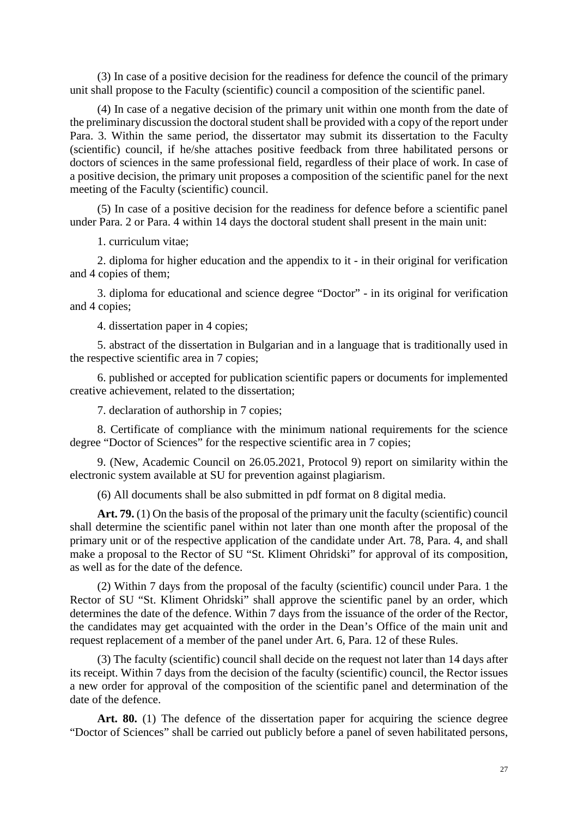(3) In case of a positive decision for the readiness for defence the council of the primary unit shall propose to the Faculty (scientific) council a composition of the scientific panel.

(4) In case of a negative decision of the primary unit within one month from the date of the preliminary discussion the doctoral student shall be provided with a copy of the report under Para. 3. Within the same period, the dissertator may submit its dissertation to the Faculty (scientific) council, if he/she attaches positive feedback from three habilitated persons or doctors of sciences in the same professional field, regardless of their place of work. In case of a positive decision, the primary unit proposes a composition of the scientific panel for the next meeting of the Faculty (scientific) council.

(5) In case of a positive decision for the readiness for defence before a scientific panel under Para. 2 or Para. 4 within 14 days the doctoral student shall present in the main unit:

1. curriculum vitae;

2. diploma for higher education and the appendix to it - in their original for verification and 4 copies of them;

3. diploma for educational and science degree "Doctor" - in its original for verification and 4 copies;

4. dissertation paper in 4 copies;

5. abstract of the dissertation in Bulgarian and in a language that is traditionally used in the respective scientific area in 7 copies;

6. published or accepted for publication scientific papers or documents for implemented creative achievement, related to the dissertation;

7. declaration of authorship in 7 copies;

8. Certificate of compliance with the minimum national requirements for the science degree "Doctor of Sciences" for the respective scientific area in 7 copies;

9. (New, Academic Council on 26.05.2021, Protocol 9) report on similarity within the electronic system available at SU for prevention against plagiarism.

(6) All documents shall be also submitted in pdf format on 8 digital media.

**Art. 79.** (1) On the basis of the proposal of the primary unit the faculty (scientific) council shall determine the scientific panel within not later than one month after the proposal of the primary unit or of the respective application of the candidate under Art. 78, Para. 4, and shall make a proposal to the Rector of SU "St. Kliment Ohridski" for approval of its composition, as well as for the date of the defence.

(2) Within 7 days from the proposal of the faculty (scientific) council under Para. 1 the Rector of SU "St. Kliment Ohridski" shall approve the scientific panel by an order, which determines the date of the defence. Within 7 days from the issuance of the order of the Rector, the candidates may get acquainted with the order in the Dean's Office of the main unit and request replacement of a member of the panel under Art. 6, Para. 12 of these Rules.

(3) The faculty (scientific) council shall decide on the request not later than 14 days after its receipt. Within 7 days from the decision of the faculty (scientific) council, the Rector issues a new order for approval of the composition of the scientific panel and determination of the date of the defence.

Art. 80. (1) The defence of the dissertation paper for acquiring the science degree "Doctor of Sciences" shall be carried out publicly before a panel of seven habilitated persons,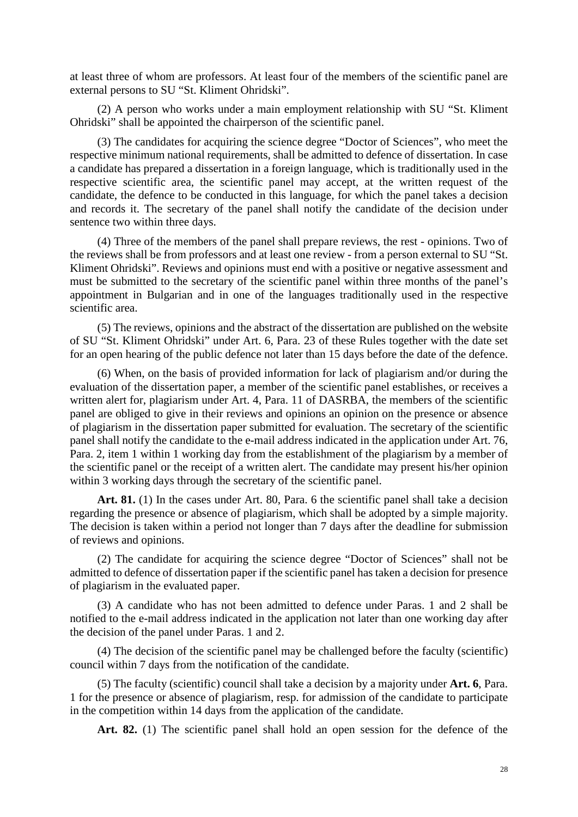at least three of whom are professors. At least four of the members of the scientific panel are external persons to SU "St. Kliment Ohridski".

(2) A person who works under a main employment relationship with SU "St. Kliment Ohridski" shall be appointed the chairperson of the scientific panel.

(3) The candidates for acquiring the science degree "Doctor of Sciences", who meet the respective minimum national requirements, shall be admitted to defence of dissertation. In case a candidate has prepared a dissertation in a foreign language, which is traditionally used in the respective scientific area, the scientific panel may accept, at the written request of the candidate, the defence to be conducted in this language, for which the panel takes a decision and records it. The secretary of the panel shall notify the candidate of the decision under sentence two within three days.

(4) Three of the members of the panel shall prepare reviews, the rest - opinions. Two of the reviews shall be from professors and at least one review - from a person external to SU "St. Kliment Ohridski". Reviews and opinions must end with a positive or negative assessment and must be submitted to the secretary of the scientific panel within three months of the panel's appointment in Bulgarian and in one of the languages traditionally used in the respective scientific area.

(5) The reviews, opinions and the abstract of the dissertation are published on the website of SU "St. Kliment Ohridski" under Art. 6, Para. 23 of these Rules together with the date set for an open hearing of the public defence not later than 15 days before the date of the defence.

(6) When, on the basis of provided information for lack of plagiarism and/or during the evaluation of the dissertation paper, a member of the scientific panel establishes, or receives a written alert for, plagiarism under Art. 4, Para. 11 of DASRBA, the members of the scientific panel are obliged to give in their reviews and opinions an opinion on the presence or absence of plagiarism in the dissertation paper submitted for evaluation. The secretary of the scientific panel shall notify the candidate to the e-mail address indicated in the application under Art. 76, Para. 2, item 1 within 1 working day from the establishment of the plagiarism by a member of the scientific panel or the receipt of a written alert. The candidate may present his/her opinion within 3 working days through the secretary of the scientific panel.

Art. 81. (1) In the cases under Art. 80, Para. 6 the scientific panel shall take a decision regarding the presence or absence of plagiarism, which shall be adopted by a simple majority. The decision is taken within a period not longer than 7 days after the deadline for submission of reviews and opinions.

(2) The candidate for acquiring the science degree "Doctor of Sciences" shall not be admitted to defence of dissertation paper if the scientific panel has taken a decision for presence of plagiarism in the evaluated paper.

(3) A candidate who has not been admitted to defence under Paras. 1 and 2 shall be notified to the e-mail address indicated in the application not later than one working day after the decision of the panel under Paras. 1 and 2.

(4) The decision of the scientific panel may be challenged before the faculty (scientific) council within 7 days from the notification of the candidate.

(5) The faculty (scientific) council shall take a decision by a majority under **Art. 6**, Para. 1 for the presence or absence of plagiarism, resp. for admission of the candidate to participate in the competition within 14 days from the application of the candidate.

**Art. 82.** (1) The scientific panel shall hold an open session for the defence of the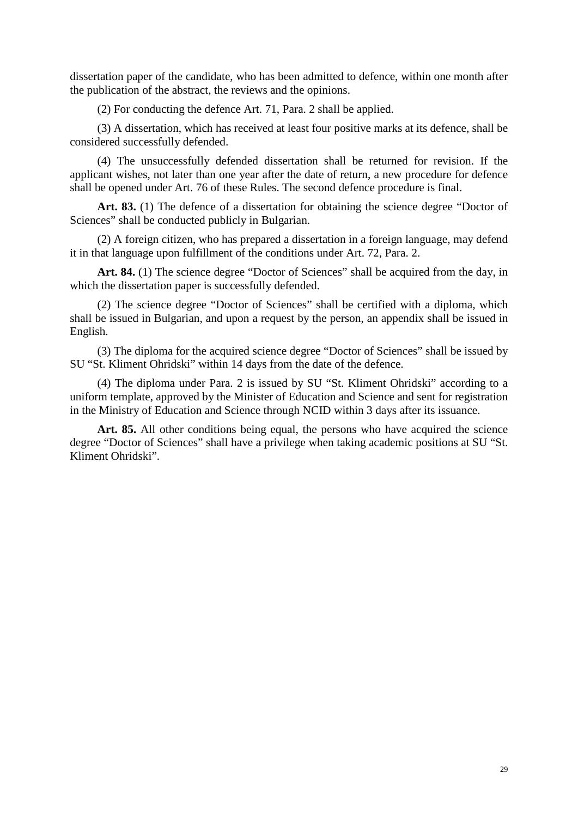dissertation paper of the candidate, who has been admitted to defence, within one month after the publication of the abstract, the reviews and the opinions.

(2) For conducting the defence Art. 71, Para. 2 shall be applied.

(3) A dissertation, which has received at least four positive marks at its defence, shall be considered successfully defended.

(4) The unsuccessfully defended dissertation shall be returned for revision. If the applicant wishes, not later than one year after the date of return, a new procedure for defence shall be opened under Art. 76 of these Rules. The second defence procedure is final.

Art. 83. (1) The defence of a dissertation for obtaining the science degree "Doctor of Sciences" shall be conducted publicly in Bulgarian.

(2) A foreign citizen, who has prepared a dissertation in a foreign language, may defend it in that language upon fulfillment of the conditions under Art. 72, Para. 2.

Art. 84. (1) The science degree "Doctor of Sciences" shall be acquired from the day, in which the dissertation paper is successfully defended.

(2) The science degree "Doctor of Sciences" shall be certified with a diploma, which shall be issued in Bulgarian, and upon a request by the person, an appendix shall be issued in English.

(3) The diploma for the acquired science degree "Doctor of Sciences" shall be issued by SU "St. Kliment Ohridski" within 14 days from the date of the defence.

(4) The diploma under Para. 2 is issued by SU "St. Kliment Ohridski" according to a uniform template, approved by the Minister of Education and Science and sent for registration in the Ministry of Education and Science through NCID within 3 days after its issuance.

Art. 85. All other conditions being equal, the persons who have acquired the science degree "Doctor of Sciences" shall have a privilege when taking academic positions at SU "St. Kliment Ohridski".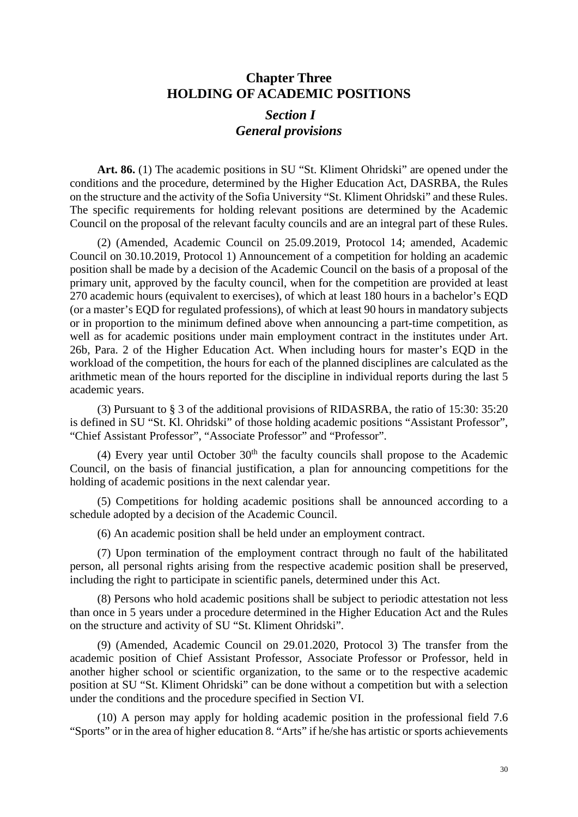### **Chapter Three HOLDING OF ACADEMIC POSITIONS**

# *Section I General provisions*

Art. 86. (1) The academic positions in SU "St. Kliment Ohridski" are opened under the conditions and the procedure, determined by the Higher Education Act, DASRBA, the Rules on the structure and the activity of the Sofia University "St. Kliment Ohridski" and these Rules. The specific requirements for holding relevant positions are determined by the Academic Council on the proposal of the relevant faculty councils and are an integral part of these Rules.

(2) (Amended, Academic Council on 25.09.2019, Protocol 14; amended, Academic Council on 30.10.2019, Protocol 1) Announcement of a competition for holding an academic position shall be made by a decision of the Academic Council on the basis of a proposal of the primary unit, approved by the faculty council, when for the competition are provided at least 270 academic hours (equivalent to exercises), of which at least 180 hours in a bachelor's EQD (or a master's EQD for regulated professions), of which at least 90 hours in mandatory subjects or in proportion to the minimum defined above when announcing a part-time competition, as well as for academic positions under main employment contract in the institutes under Art. 26b, Para. 2 of the Higher Education Act. When including hours for master's EQD in the workload of the competition, the hours for each of the planned disciplines are calculated as the arithmetic mean of the hours reported for the discipline in individual reports during the last 5 academic years.

(3) Pursuant to § 3 of the additional provisions of RIDASRBA, the ratio of 15:30: 35:20 is defined in SU "St. Kl. Ohridski" of those holding academic positions "Assistant Professor", "Chief Assistant Professor", "Associate Professor" and "Professor".

(4) Every year until October  $30<sup>th</sup>$  the faculty councils shall propose to the Academic Council, on the basis of financial justification, a plan for announcing competitions for the holding of academic positions in the next calendar year.

(5) Competitions for holding academic positions shall be announced according to a schedule adopted by a decision of the Academic Council.

(6) An academic position shall be held under an employment contract.

(7) Upon termination of the employment contract through no fault of the habilitated person, all personal rights arising from the respective academic position shall be preserved, including the right to participate in scientific panels, determined under this Act.

(8) Persons who hold academic positions shall be subject to periodic attestation not less than once in 5 years under a procedure determined in the Higher Education Act and the Rules on the structure and activity of SU "St. Kliment Ohridski".

(9) (Amended, Academic Council on 29.01.2020, Protocol 3) The transfer from the academic position of Chief Assistant Professor, Associate Professor or Professor, held in another higher school or scientific organization, to the same or to the respective academic position at SU "St. Kliment Ohridski" can be done without a competition but with a selection under the conditions and the procedure specified in Section VI.

(10) A person may apply for holding academic position in the professional field 7.6 "Sports" or in the area of higher education 8. "Arts" if he/she has artistic or sports achievements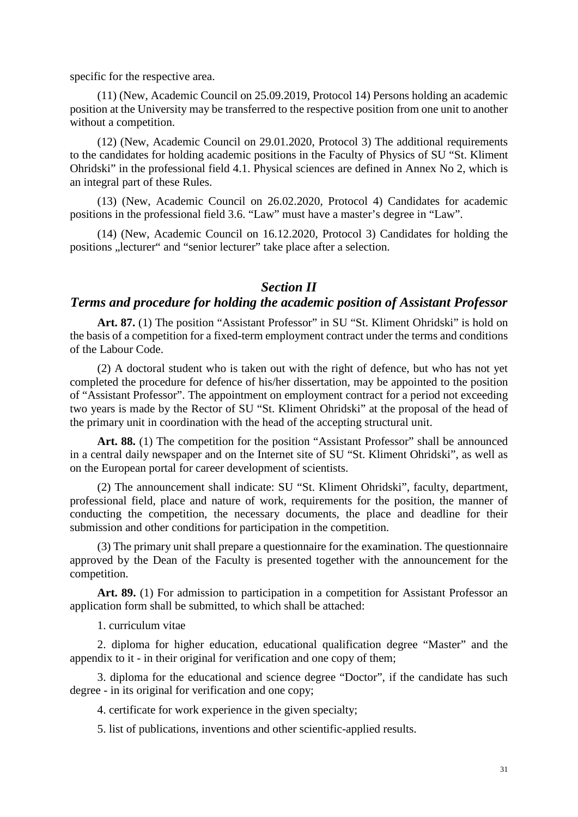specific for the respective area.

(11) (New, Academic Council on 25.09.2019, Protocol 14) Persons holding an academic position at the University may be transferred to the respective position from one unit to another without a competition.

(12) (New, Academic Council on 29.01.2020, Protocol 3) The additional requirements to the candidates for holding academic positions in the Faculty of Physics of SU "St. Kliment Ohridski" in the professional field 4.1. Physical sciences are defined in Annex No 2, which is an integral part of these Rules.

(13) (New, Academic Council on 26.02.2020, Protocol 4) Candidates for academic positions in the professional field 3.6. "Law" must have a master's degree in "Law".

(14) (New, Academic Council on 16.12.2020, Protocol 3) Candidates for holding the positions "lecturer" and "senior lecturer" take place after a selection.

#### *Section II*

#### *Terms and procedure for holding the academic position of Assistant Professor*

Art. 87. (1) The position "Assistant Professor" in SU "St. Kliment Ohridski" is hold on the basis of a competition for a fixed-term employment contract under the terms and conditions of the Labour Code.

(2) A doctoral student who is taken out with the right of defence, but who has not yet completed the procedure for defence of his/her dissertation, may be appointed to the position of "Assistant Professor". The appointment on employment contract for a period not exceeding two years is made by the Rector of SU "St. Kliment Ohridski" at the proposal of the head of the primary unit in coordination with the head of the accepting structural unit.

Art. 88. (1) The competition for the position "Assistant Professor" shall be announced in a central daily newspaper and on the Internet site of SU "St. Kliment Ohridski", as well as on the European portal for career development of scientists.

(2) The announcement shall indicate: SU "St. Kliment Ohridski", faculty, department, professional field, place and nature of work, requirements for the position, the manner of conducting the competition, the necessary documents, the place and deadline for their submission and other conditions for participation in the competition.

(3) The primary unit shall prepare a questionnaire for the examination. The questionnaire approved by the Dean of the Faculty is presented together with the announcement for the competition.

Art. 89. (1) For admission to participation in a competition for Assistant Professor an application form shall be submitted, to which shall be attached:

1. curriculum vitae

2. diploma for higher education, educational qualification degree "Master" and the appendix to it - in their original for verification and one copy of them;

3. diploma for the educational and science degree "Doctor", if the candidate has such degree - in its original for verification and one copy;

4. certificate for work experience in the given specialty;

5. list of publications, inventions and other scientific-applied results.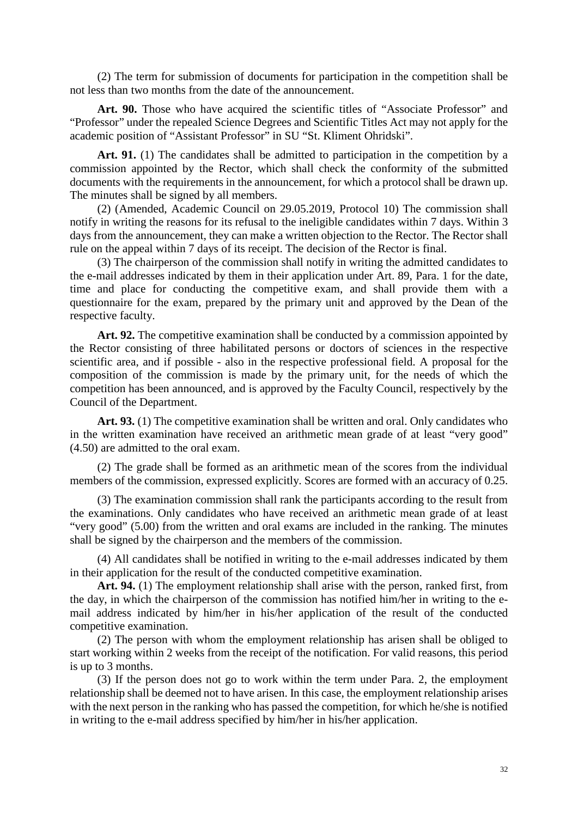(2) The term for submission of documents for participation in the competition shall be not less than two months from the date of the announcement.

**Art. 90.** Those who have acquired the scientific titles of "Associate Professor" and "Professor" under the repealed Science Degrees and Scientific Titles Act may not apply for the academic position of "Assistant Professor" in SU "St. Kliment Ohridski".

Art. 91. (1) The candidates shall be admitted to participation in the competition by a commission appointed by the Rector, which shall check the conformity of the submitted documents with the requirements in the announcement, for which a protocol shall be drawn up. The minutes shall be signed by all members.

(2) (Amended, Academic Council on 29.05.2019, Protocol 10) The commission shall notify in writing the reasons for its refusal to the ineligible candidates within 7 days. Within 3 days from the announcement, they can make a written objection to the Rector. The Rector shall rule on the appeal within 7 days of its receipt. The decision of the Rector is final.

(3) The chairperson of the commission shall notify in writing the admitted candidates to the e-mail addresses indicated by them in their application under Art. 89, Para. 1 for the date, time and place for conducting the competitive exam, and shall provide them with a questionnaire for the exam, prepared by the primary unit and approved by the Dean of the respective faculty.

Art. 92. The competitive examination shall be conducted by a commission appointed by the Rector consisting of three habilitated persons or doctors of sciences in the respective scientific area, and if possible - also in the respective professional field. A proposal for the composition of the commission is made by the primary unit, for the needs of which the competition has been announced, and is approved by the Faculty Council, respectively by the Council of the Department.

**Art. 93.** (1) The competitive examination shall be written and oral. Only candidates who in the written examination have received an arithmetic mean grade of at least "very good" (4.50) are admitted to the oral exam.

(2) The grade shall be formed as an arithmetic mean of the scores from the individual members of the commission, expressed explicitly. Scores are formed with an accuracy of 0.25.

(3) The examination commission shall rank the participants according to the result from the examinations. Only candidates who have received an arithmetic mean grade of at least "very good" (5.00) from the written and oral exams are included in the ranking. The minutes shall be signed by the chairperson and the members of the commission.

(4) All candidates shall be notified in writing to the e-mail addresses indicated by them in their application for the result of the conducted competitive examination.

**Art. 94.** (1) The employment relationship shall arise with the person, ranked first, from the day, in which the chairperson of the commission has notified him/her in writing to the email address indicated by him/her in his/her application of the result of the conducted competitive examination.

(2) The person with whom the employment relationship has arisen shall be obliged to start working within 2 weeks from the receipt of the notification. For valid reasons, this period is up to 3 months.

(3) If the person does not go to work within the term under Para. 2, the employment relationship shall be deemed not to have arisen. In this case, the employment relationship arises with the next person in the ranking who has passed the competition, for which he/she is notified in writing to the e-mail address specified by him/her in his/her application.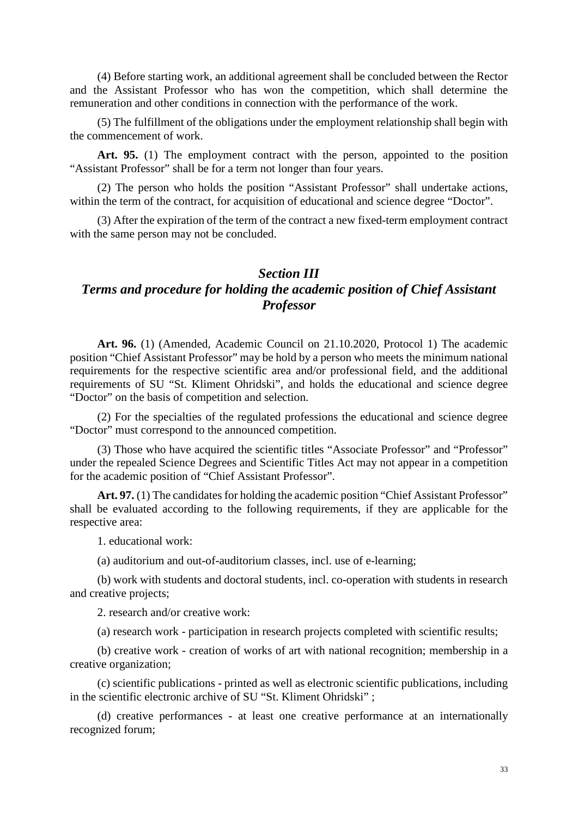(4) Before starting work, an additional agreement shall be concluded between the Rector and the Assistant Professor who has won the competition, which shall determine the remuneration and other conditions in connection with the performance of the work.

(5) The fulfillment of the obligations under the employment relationship shall begin with the commencement of work.

Art. 95. (1) The employment contract with the person, appointed to the position "Assistant Professor" shall be for a term not longer than four years.

(2) The person who holds the position "Assistant Professor" shall undertake actions, within the term of the contract, for acquisition of educational and science degree "Doctor".

(3) After the expiration of the term of the contract a new fixed-term employment contract with the same person may not be concluded.

### *Section III Terms and procedure for holding the academic position of Chief Assistant Professor*

**Art. 96.** (1) (Amended, Academic Council on 21.10.2020, Protocol 1) The academic position "Chief Assistant Professor" may be hold by a person who meets the minimum national requirements for the respective scientific area and/or professional field, and the additional requirements of SU "St. Kliment Ohridski", and holds the educational and science degree "Doctor" on the basis of competition and selection.

(2) For the specialties of the regulated professions the educational and science degree "Doctor" must correspond to the announced competition.

(3) Those who have acquired the scientific titles "Associate Professor" and "Professor" under the repealed Science Degrees and Scientific Titles Act may not appear in a competition for the academic position of "Chief Assistant Professor".

Art. 97. (1) The candidates for holding the academic position "Chief Assistant Professor" shall be evaluated according to the following requirements, if they are applicable for the respective area:

1. educational work:

(a) auditorium and out-of-auditorium classes, incl. use of e-learning;

(b) work with students and doctoral students, incl. co-operation with students in research and creative projects;

2. research and/or creative work:

(a) research work - participation in research projects completed with scientific results;

(b) creative work - creation of works of art with national recognition; membership in a creative organization;

(c) scientific publications - printed as well as electronic scientific publications, including in the scientific electronic archive of SU "St. Kliment Ohridski" ;

(d) creative performances - at least one creative performance at an internationally recognized forum;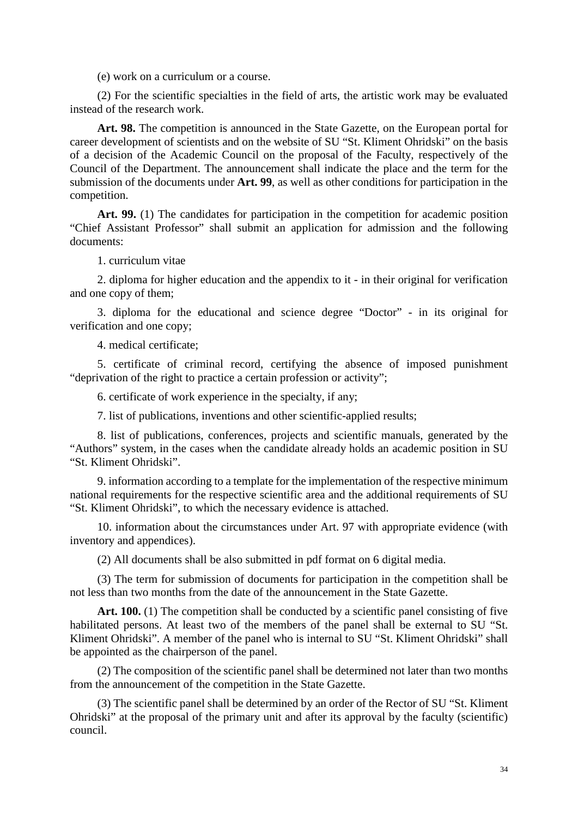(e) work on a curriculum or a course.

(2) For the scientific specialties in the field of arts, the artistic work may be evaluated instead of the research work.

Art. 98. The competition is announced in the State Gazette, on the European portal for career development of scientists and on the website of SU "St. Kliment Ohridski" on the basis of a decision of the Academic Council on the proposal of the Faculty, respectively of the Council of the Department. The announcement shall indicate the place and the term for the submission of the documents under **Art. 99**, as well as other conditions for participation in the competition.

Art. 99. (1) The candidates for participation in the competition for academic position "Chief Assistant Professor" shall submit an application for admission and the following documents:

1. curriculum vitae

2. diploma for higher education and the appendix to it - in their original for verification and one copy of them;

3. diploma for the educational and science degree "Doctor" - in its original for verification and one copy;

4. medical certificate;

5. certificate of criminal record, certifying the absence of imposed punishment "deprivation of the right to practice a certain profession or activity";

6. certificate of work experience in the specialty, if any;

7. list of publications, inventions and other scientific-applied results;

8. list of publications, conferences, projects and scientific manuals, generated by the "Authors" system, in the cases when the candidate already holds an academic position in SU "St. Kliment Ohridski".

9. information according to a template for the implementation of the respective minimum national requirements for the respective scientific area and the additional requirements of SU "St. Kliment Ohridski", to which the necessary evidence is attached.

10. information about the circumstances under Art. 97 with appropriate evidence (with inventory and appendices).

(2) All documents shall be also submitted in pdf format on 6 digital media.

(3) The term for submission of documents for participation in the competition shall be not less than two months from the date of the announcement in the State Gazette.

Art. 100. (1) The competition shall be conducted by a scientific panel consisting of five habilitated persons. At least two of the members of the panel shall be external to SU "St. Kliment Ohridski". A member of the panel who is internal to SU "St. Kliment Ohridski" shall be appointed as the chairperson of the panel.

(2) The composition of the scientific panel shall be determined not later than two months from the announcement of the competition in the State Gazette.

(3) The scientific panel shall be determined by an order of the Rector of SU "St. Kliment Ohridski" at the proposal of the primary unit and after its approval by the faculty (scientific) council.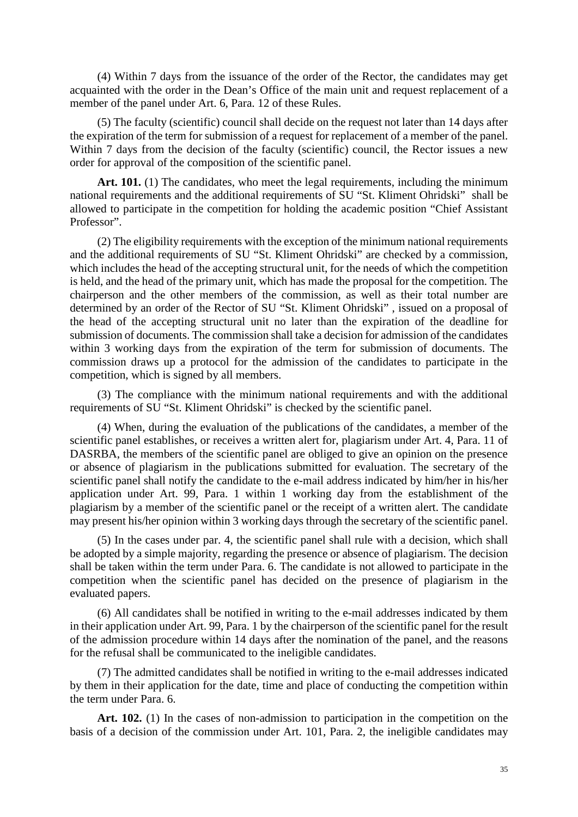(4) Within 7 days from the issuance of the order of the Rector, the candidates may get acquainted with the order in the Dean's Office of the main unit and request replacement of a member of the panel under Art. 6, Para. 12 of these Rules.

(5) The faculty (scientific) council shall decide on the request not later than 14 days after the expiration of the term for submission of a request for replacement of a member of the panel. Within 7 days from the decision of the faculty (scientific) council, the Rector issues a new order for approval of the composition of the scientific panel.

Art. 101. (1) The candidates, who meet the legal requirements, including the minimum national requirements and the additional requirements of SU "St. Kliment Ohridski" shall be allowed to participate in the competition for holding the academic position "Chief Assistant Professor".

(2) The eligibility requirements with the exception of the minimum national requirements and the additional requirements of SU "St. Kliment Ohridski" are checked by a commission, which includes the head of the accepting structural unit, for the needs of which the competition is held, and the head of the primary unit, which has made the proposal for the competition. The chairperson and the other members of the commission, as well as their total number are determined by an order of the Rector of SU "St. Kliment Ohridski" , issued on a proposal of the head of the accepting structural unit no later than the expiration of the deadline for submission of documents. The commission shall take a decision for admission of the candidates within 3 working days from the expiration of the term for submission of documents. The commission draws up a protocol for the admission of the candidates to participate in the competition, which is signed by all members.

(3) The compliance with the minimum national requirements and with the additional requirements of SU "St. Kliment Ohridski" is checked by the scientific panel.

(4) When, during the evaluation of the publications of the candidates, a member of the scientific panel establishes, or receives a written alert for, plagiarism under Art. 4, Para. 11 of DASRBA, the members of the scientific panel are obliged to give an opinion on the presence or absence of plagiarism in the publications submitted for evaluation. The secretary of the scientific panel shall notify the candidate to the e-mail address indicated by him/her in his/her application under Art. 99, Para. 1 within 1 working day from the establishment of the plagiarism by a member of the scientific panel or the receipt of a written alert. The candidate may present his/her opinion within 3 working days through the secretary of the scientific panel.

(5) In the cases under par. 4, the scientific panel shall rule with a decision, which shall be adopted by a simple majority, regarding the presence or absence of plagiarism. The decision shall be taken within the term under Para. 6. The candidate is not allowed to participate in the competition when the scientific panel has decided on the presence of plagiarism in the evaluated papers.

(6) All candidates shall be notified in writing to the e-mail addresses indicated by them in their application under Art. 99, Para. 1 by the chairperson of the scientific panel for the result of the admission procedure within 14 days after the nomination of the panel, and the reasons for the refusal shall be communicated to the ineligible candidates.

(7) The admitted candidates shall be notified in writing to the e-mail addresses indicated by them in their application for the date, time and place of conducting the competition within the term under Para. 6.

**Art. 102.** (1) In the cases of non-admission to participation in the competition on the basis of a decision of the commission under Art. 101, Para. 2, the ineligible candidates may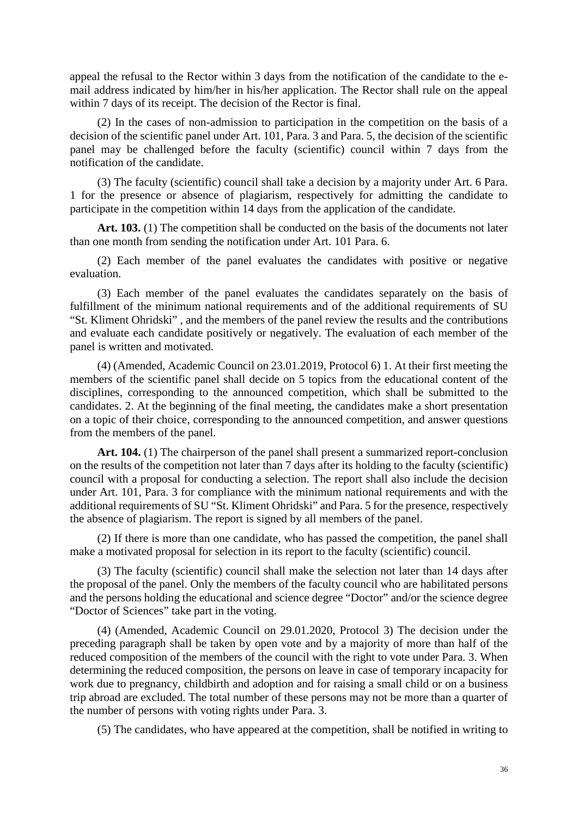appeal the refusal to the Rector within 3 days from the notification of the candidate to the email address indicated by him/her in his/her application. The Rector shall rule on the appeal within 7 days of its receipt. The decision of the Rector is final.

(2) In the cases of non-admission to participation in the competition on the basis of a decision of the scientific panel under Art. 101, Para. 3 and Para. 5, the decision of the scientific panel may be challenged before the faculty (scientific) council within 7 days from the notification of the candidate.

(3) The faculty (scientific) council shall take a decision by a majority under Art. 6 Para. 1 for the presence or absence of plagiarism, respectively for admitting the candidate to participate in the competition within 14 days from the application of the candidate.

Art. 103. (1) The competition shall be conducted on the basis of the documents not later than one month from sending the notification under Art. 101 Para. 6.

(2) Each member of the panel evaluates the candidates with positive or negative evaluation.

(3) Each member of the panel evaluates the candidates separately on the basis of fulfillment of the minimum national requirements and of the additional requirements of SU "St. Kliment Ohridski" , and the members of the panel review the results and the contributions and evaluate each candidate positively or negatively. The evaluation of each member of the panel is written and motivated.

(4) (Amended, Academic Council on 23.01.2019, Protocol 6) 1. At their first meeting the members of the scientific panel shall decide on 5 topics from the educational content of the disciplines, corresponding to the announced competition, which shall be submitted to the candidates. 2. At the beginning of the final meeting, the candidates make a short presentation on a topic of their choice, corresponding to the announced competition, and answer questions from the members of the panel.

Art. 104. (1) The chairperson of the panel shall present a summarized report-conclusion on the results of the competition not later than 7 days after its holding to the faculty (scientific) council with a proposal for conducting a selection. The report shall also include the decision under Art. 101, Para. 3 for compliance with the minimum national requirements and with the additional requirements of SU "St. Kliment Ohridski" and Para. 5 for the presence, respectively the absence of plagiarism. The report is signed by all members of the panel.

(2) If there is more than one candidate, who has passed the competition, the panel shall make a motivated proposal for selection in its report to the faculty (scientific) council.

(3) The faculty (scientific) council shall make the selection not later than 14 days after the proposal of the panel. Only the members of the faculty council who are habilitated persons and the persons holding the educational and science degree "Doctor" and/or the science degree "Doctor of Sciences" take part in the voting.

(4) (Amended, Academic Council on 29.01.2020, Protocol 3) The decision under the preceding paragraph shall be taken by open vote and by a majority of more than half of the reduced composition of the members of the council with the right to vote under Para. 3. When determining the reduced composition, the persons on leave in case of temporary incapacity for work due to pregnancy, childbirth and adoption and for raising a small child or on a business trip abroad are excluded. The total number of these persons may not be more than a quarter of the number of persons with voting rights under Para. 3.

(5) The candidates, who have appeared at the competition, shall be notified in writing to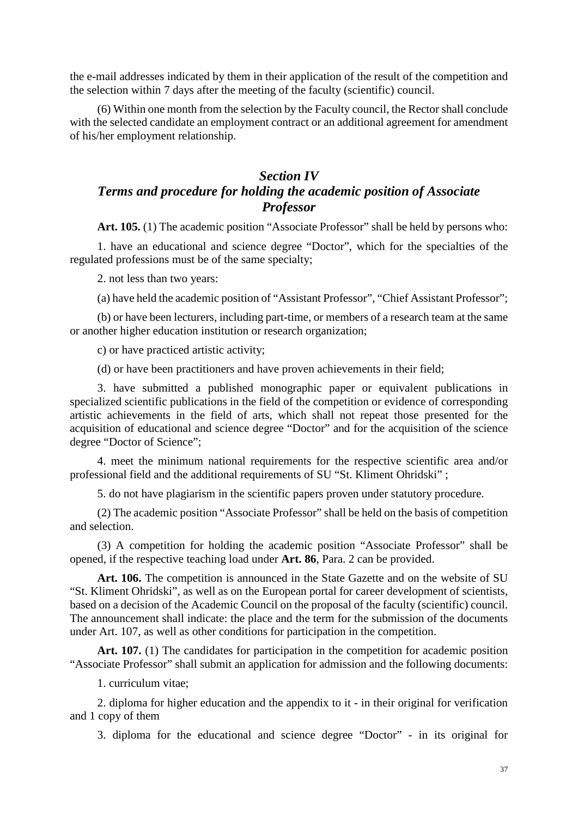the e-mail addresses indicated by them in their application of the result of the competition and the selection within 7 days after the meeting of the faculty (scientific) council.

(6) Within one month from the selection by the Faculty council, the Rector shall conclude with the selected candidate an employment contract or an additional agreement for amendment of his/her employment relationship.

# *Section IV Terms and procedure for holding the academic position of Associate Professor*

Art. 105. (1) The academic position "Associate Professor" shall be held by persons who:

1. have an educational and science degree "Doctor", which for the specialties of the regulated professions must be of the same specialty;

2. not less than two years:

(a) have held the academic position of "Assistant Professor", "Chief Assistant Professor";

(b) or have been lecturers, including part-time, or members of a research team at the same or another higher education institution or research organization;

c) or have practiced artistic activity;

(d) or have been practitioners and have proven achievements in their field;

3. have submitted a published monographic paper or equivalent publications in specialized scientific publications in the field of the competition or evidence of corresponding artistic achievements in the field of arts, which shall not repeat those presented for the acquisition of educational and science degree "Doctor" and for the acquisition of the science degree "Doctor of Science";

4. meet the minimum national requirements for the respective scientific area and/or professional field and the additional requirements of SU "St. Kliment Ohridski" ;

5. do not have plagiarism in the scientific papers proven under statutory procedure.

(2) The academic position "Associate Professor" shall be held on the basis of competition and selection.

(3) A competition for holding the academic position "Associate Professor" shall be opened, if the respective teaching load under **Art. 86**, Para. 2 can be provided.

Art. 106. The competition is announced in the State Gazette and on the website of SU "St. Kliment Ohridski", as well as on the European portal for career development of scientists, based on a decision of the Academic Council on the proposal of the faculty (scientific) council. The announcement shall indicate: the place and the term for the submission of the documents under Art. 107, as well as other conditions for participation in the competition.

Art. 107. (1) The candidates for participation in the competition for academic position "Associate Professor" shall submit an application for admission and the following documents:

1. curriculum vitae;

2. diploma for higher education and the appendix to it - in their original for verification and 1 copy of them

3. diploma for the educational and science degree "Doctor" - in its original for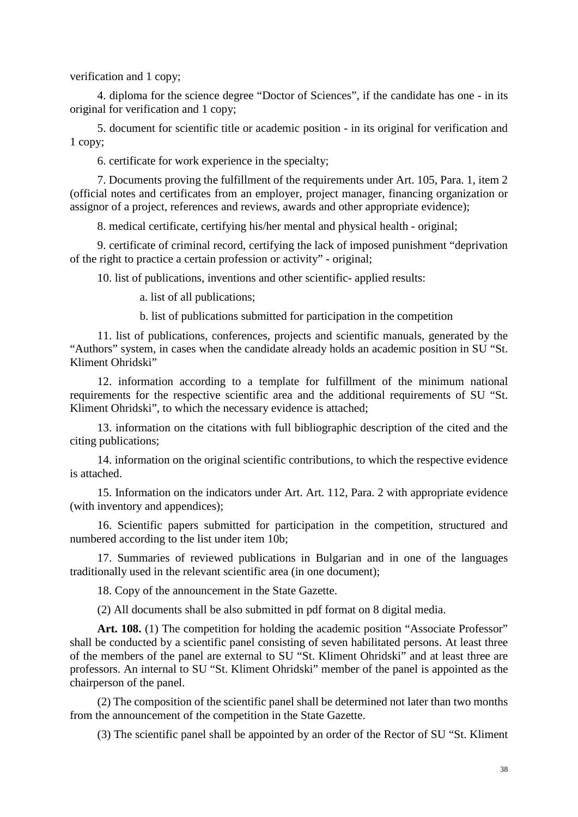verification and 1 copy;

4. diploma for the science degree "Doctor of Sciences", if the candidate has one - in its original for verification and 1 copy;

5. document for scientific title or academic position - in its original for verification and 1 copy;

6. certificate for work experience in the specialty;

7. Documents proving the fulfillment of the requirements under Art. 105, Para. 1, item 2 (official notes and certificates from an employer, project manager, financing organization or assignor of a project, references and reviews, awards and other appropriate evidence);

8. medical certificate, certifying his/her mental and physical health - original;

9. certificate of criminal record, certifying the lack of imposed punishment "deprivation of the right to practice a certain profession or activity" - original;

10. list of publications, inventions and other scientific- applied results:

a. list of all publications;

b. list of publications submitted for participation in the competition

11. list of publications, conferences, projects and scientific manuals, generated by the "Authors" system, in cases when the candidate already holds an academic position in SU "St. Kliment Ohridski"

12. information according to a template for fulfillment of the minimum national requirements for the respective scientific area and the additional requirements of SU "St. Kliment Ohridski", to which the necessary evidence is attached;

13. information on the citations with full bibliographic description of the cited and the citing publications;

14. information on the original scientific contributions, to which the respective evidence is attached.

15. Information on the indicators under Art. Art. 112, Para. 2 with appropriate evidence (with inventory and appendices);

16. Scientific papers submitted for participation in the competition, structured and numbered according to the list under item 10b;

17. Summaries of reviewed publications in Bulgarian and in one of the languages traditionally used in the relevant scientific area (in one document);

18. Copy of the announcement in the State Gazette.

(2) All documents shall be also submitted in pdf format on 8 digital media.

Art. 108. (1) The competition for holding the academic position "Associate Professor" shall be conducted by a scientific panel consisting of seven habilitated persons. At least three of the members of the panel are external to SU "St. Kliment Ohridski" and at least three are professors. An internal to SU "St. Kliment Ohridski" member of the panel is appointed as the chairperson of the panel.

(2) The composition of the scientific panel shall be determined not later than two months from the announcement of the competition in the State Gazette.

(3) The scientific panel shall be appointed by an order of the Rector of SU "St. Kliment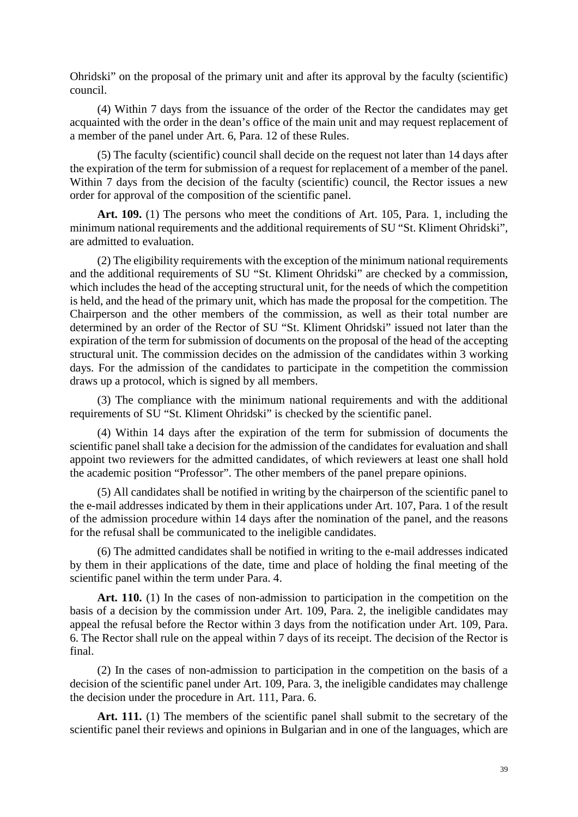Ohridski" on the proposal of the primary unit and after its approval by the faculty (scientific) council.

(4) Within 7 days from the issuance of the order of the Rector the candidates may get acquainted with the order in the dean's office of the main unit and may request replacement of a member of the panel under Art. 6, Para. 12 of these Rules.

(5) The faculty (scientific) council shall decide on the request not later than 14 days after the expiration of the term for submission of a request for replacement of a member of the panel. Within 7 days from the decision of the faculty (scientific) council, the Rector issues a new order for approval of the composition of the scientific panel.

**Art. 109.** (1) The persons who meet the conditions of Art. 105, Para. 1, including the minimum national requirements and the additional requirements of SU "St. Kliment Ohridski", are admitted to evaluation.

(2) The eligibility requirements with the exception of the minimum national requirements and the additional requirements of SU "St. Kliment Ohridski" are checked by a commission, which includes the head of the accepting structural unit, for the needs of which the competition is held, and the head of the primary unit, which has made the proposal for the competition. The Chairperson and the other members of the commission, as well as their total number are determined by an order of the Rector of SU "St. Kliment Ohridski" issued not later than the expiration of the term for submission of documents on the proposal of the head of the accepting structural unit. The commission decides on the admission of the candidates within 3 working days. For the admission of the candidates to participate in the competition the commission draws up a protocol, which is signed by all members.

(3) The compliance with the minimum national requirements and with the additional requirements of SU "St. Kliment Ohridski" is checked by the scientific panel.

(4) Within 14 days after the expiration of the term for submission of documents the scientific panel shall take a decision for the admission of the candidates for evaluation and shall appoint two reviewers for the admitted candidates, of which reviewers at least one shall hold the academic position "Professor". The other members of the panel prepare opinions.

(5) All candidates shall be notified in writing by the chairperson of the scientific panel to the e-mail addresses indicated by them in their applications under Art. 107, Para. 1 of the result of the admission procedure within 14 days after the nomination of the panel, and the reasons for the refusal shall be communicated to the ineligible candidates.

(6) The admitted candidates shall be notified in writing to the e-mail addresses indicated by them in their applications of the date, time and place of holding the final meeting of the scientific panel within the term under Para. 4.

Art. 110. (1) In the cases of non-admission to participation in the competition on the basis of a decision by the commission under Art. 109, Para. 2, the ineligible candidates may appeal the refusal before the Rector within 3 days from the notification under Art. 109, Para. 6. The Rector shall rule on the appeal within 7 days of its receipt. The decision of the Rector is final.

(2) In the cases of non-admission to participation in the competition on the basis of a decision of the scientific panel under Art. 109, Para. 3, the ineligible candidates may challenge the decision under the procedure in Art. 111, Para. 6.

Art. 111. (1) The members of the scientific panel shall submit to the secretary of the scientific panel their reviews and opinions in Bulgarian and in one of the languages, which are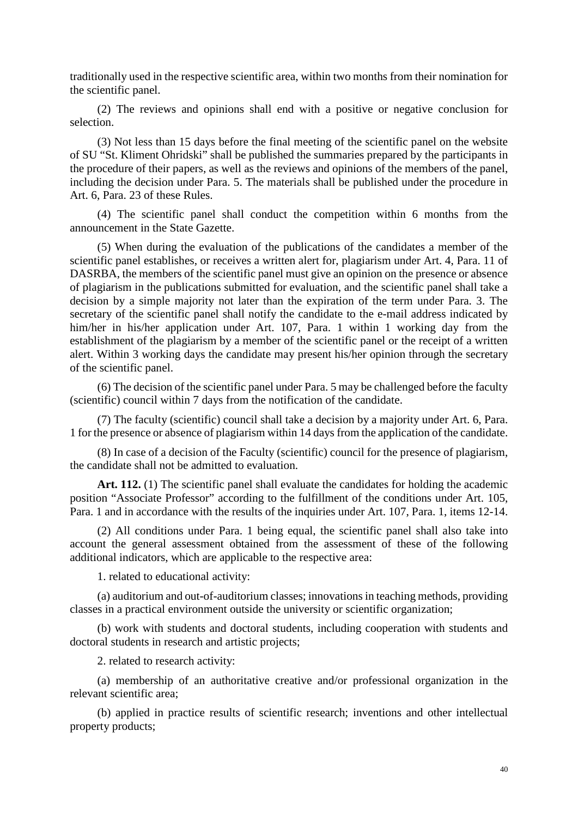traditionally used in the respective scientific area, within two months from their nomination for the scientific panel.

(2) The reviews and opinions shall end with a positive or negative conclusion for selection.

(3) Not less than 15 days before the final meeting of the scientific panel on the website of SU "St. Kliment Ohridski" shall be published the summaries prepared by the participants in the procedure of their papers, as well as the reviews and opinions of the members of the panel, including the decision under Para. 5. The materials shall be published under the procedure in Art. 6, Para. 23 of these Rules.

(4) The scientific panel shall conduct the competition within 6 months from the announcement in the State Gazette.

(5) When during the evaluation of the publications of the candidates a member of the scientific panel establishes, or receives a written alert for, plagiarism under Art. 4, Para. 11 of DASRBA, the members of the scientific panel must give an opinion on the presence or absence of plagiarism in the publications submitted for evaluation, and the scientific panel shall take a decision by a simple majority not later than the expiration of the term under Para. 3. The secretary of the scientific panel shall notify the candidate to the e-mail address indicated by him/her in his/her application under Art. 107, Para. 1 within 1 working day from the establishment of the plagiarism by a member of the scientific panel or the receipt of a written alert. Within 3 working days the candidate may present his/her opinion through the secretary of the scientific panel.

(6) The decision of the scientific panel under Para. 5 may be challenged before the faculty (scientific) council within 7 days from the notification of the candidate.

(7) The faculty (scientific) council shall take a decision by a majority under Art. 6, Para. 1 for the presence or absence of plagiarism within 14 days from the application of the candidate.

(8) In case of a decision of the Faculty (scientific) council for the presence of plagiarism, the candidate shall not be admitted to evaluation.

Art. 112. (1) The scientific panel shall evaluate the candidates for holding the academic position "Associate Professor" according to the fulfillment of the conditions under Art. 105, Para. 1 and in accordance with the results of the inquiries under Art. 107, Para. 1, items 12-14.

(2) All conditions under Para. 1 being equal, the scientific panel shall also take into account the general assessment obtained from the assessment of these of the following additional indicators, which are applicable to the respective area:

1. related to educational activity:

(a) auditorium and out-of-auditorium classes; innovations in teaching methods, providing classes in a practical environment outside the university or scientific organization;

(b) work with students and doctoral students, including cooperation with students and doctoral students in research and artistic projects;

2. related to research activity:

(a) membership of an authoritative creative and/or professional organization in the relevant scientific area;

(b) applied in practice results of scientific research; inventions and other intellectual property products;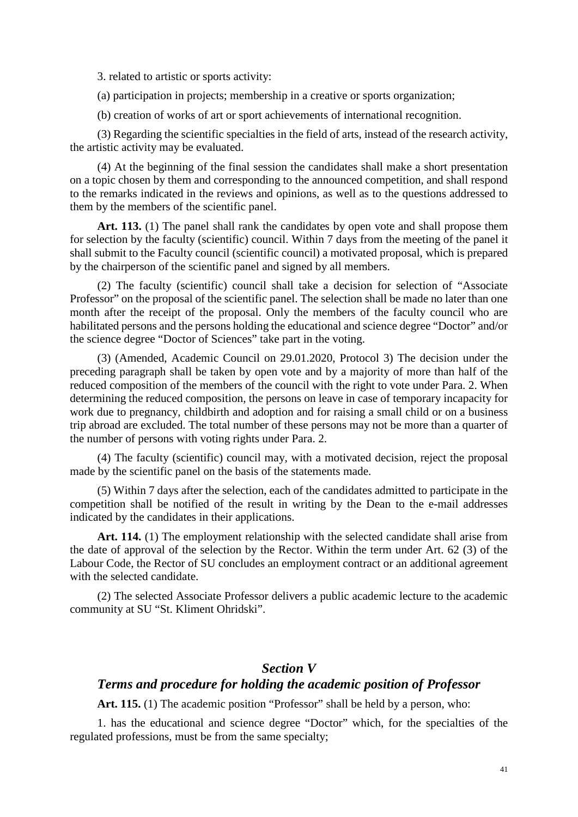3. related to artistic or sports activity:

(a) participation in projects; membership in a creative or sports organization;

(b) creation of works of art or sport achievements of international recognition.

(3) Regarding the scientific specialties in the field of arts, instead of the research activity, the artistic activity may be evaluated.

(4) At the beginning of the final session the candidates shall make a short presentation on a topic chosen by them and corresponding to the announced competition, and shall respond to the remarks indicated in the reviews and opinions, as well as to the questions addressed to them by the members of the scientific panel.

Art. 113. (1) The panel shall rank the candidates by open vote and shall propose them for selection by the faculty (scientific) council. Within 7 days from the meeting of the panel it shall submit to the Faculty council (scientific council) a motivated proposal, which is prepared by the chairperson of the scientific panel and signed by all members.

(2) The faculty (scientific) council shall take a decision for selection of "Associate Professor" on the proposal of the scientific panel. The selection shall be made no later than one month after the receipt of the proposal. Only the members of the faculty council who are habilitated persons and the persons holding the educational and science degree "Doctor" and/or the science degree "Doctor of Sciences" take part in the voting.

(3) (Amended, Academic Council on 29.01.2020, Protocol 3) The decision under the preceding paragraph shall be taken by open vote and by a majority of more than half of the reduced composition of the members of the council with the right to vote under Para. 2. When determining the reduced composition, the persons on leave in case of temporary incapacity for work due to pregnancy, childbirth and adoption and for raising a small child or on a business trip abroad are excluded. The total number of these persons may not be more than a quarter of the number of persons with voting rights under Para. 2.

(4) The faculty (scientific) council may, with a motivated decision, reject the proposal made by the scientific panel on the basis of the statements made.

(5) Within 7 days after the selection, each of the candidates admitted to participate in the competition shall be notified of the result in writing by the Dean to the e-mail addresses indicated by the candidates in their applications.

Art. 114. (1) The employment relationship with the selected candidate shall arise from the date of approval of the selection by the Rector. Within the term under Art. 62 (3) of the Labour Code, the Rector of SU concludes an employment contract or an additional agreement with the selected candidate.

(2) The selected Associate Professor delivers a public academic lecture to the academic community at SU "St. Kliment Ohridski".

#### *Section V*

#### *Terms and procedure for holding the academic position of Professor*

Art. 115. (1) The academic position "Professor" shall be held by a person, who:

1. has the educational and science degree "Doctor" which, for the specialties of the regulated professions, must be from the same specialty;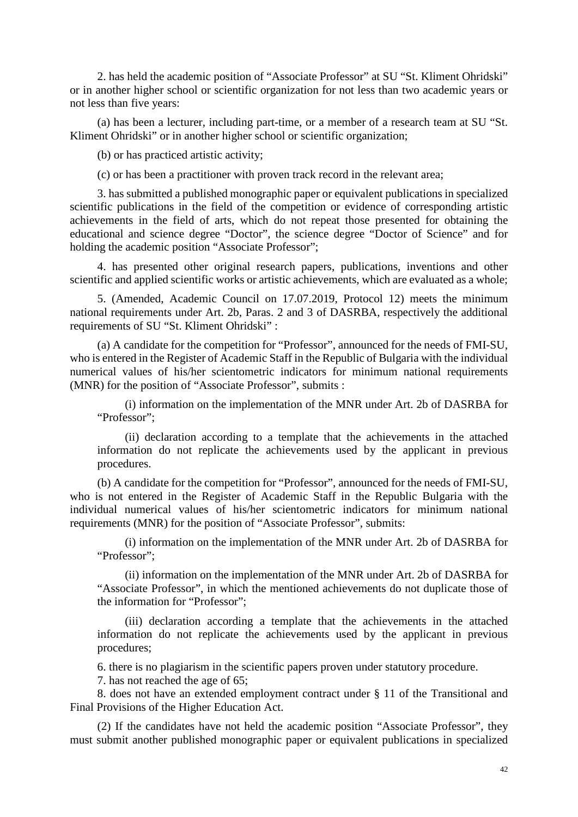2. has held the academic position of "Associate Professor" at SU "St. Kliment Ohridski" or in another higher school or scientific organization for not less than two academic years or not less than five years:

(a) has been a lecturer, including part-time, or a member of a research team at SU "St. Kliment Ohridski" or in another higher school or scientific organization;

(b) or has practiced artistic activity;

(c) or has been a practitioner with proven track record in the relevant area;

3. has submitted a published monographic paper or equivalent publications in specialized scientific publications in the field of the competition or evidence of corresponding artistic achievements in the field of arts, which do not repeat those presented for obtaining the educational and science degree "Doctor", the science degree "Doctor of Science" and for holding the academic position "Associate Professor";

4. has presented other original research papers, publications, inventions and other scientific and applied scientific works or artistic achievements, which are evaluated as a whole;

5. (Amended, Academic Council on 17.07.2019, Protocol 12) meets the minimum national requirements under Art. 2b, Paras. 2 and 3 of DASRBA, respectively the additional requirements of SU "St. Kliment Ohridski" :

(a) A candidate for the competition for "Professor", announced for the needs of FMI-SU, who is entered in the Register of Academic Staff in the Republic of Bulgaria with the individual numerical values of his/her scientometric indicators for minimum national requirements (MNR) for the position of "Associate Professor", submits :

(i) information on the implementation of the MNR under Art. 2b of DASRBA for "Professor";

(ii) declaration according to a template that the achievements in the attached information do not replicate the achievements used by the applicant in previous procedures.

(b) A candidate for the competition for "Professor", announced for the needs of FMI-SU, who is not entered in the Register of Academic Staff in the Republic Bulgaria with the individual numerical values of his/her scientometric indicators for minimum national requirements (MNR) for the position of "Associate Professor", submits:

(i) information on the implementation of the MNR under Art. 2b of DASRBA for "Professor";

(ii) information on the implementation of the MNR under Art. 2b of DASRBA for "Associate Professor", in which the mentioned achievements do not duplicate those of the information for "Professor";

(iii) declaration according a template that the achievements in the attached information do not replicate the achievements used by the applicant in previous procedures;

6. there is no plagiarism in the scientific papers proven under statutory procedure.

7. has not reached the age of 65;

8. does not have an extended employment contract under § 11 of the Transitional and Final Provisions of the Higher Education Act.

(2) If the candidates have not held the academic position "Associate Professor", they must submit another published monographic paper or equivalent publications in specialized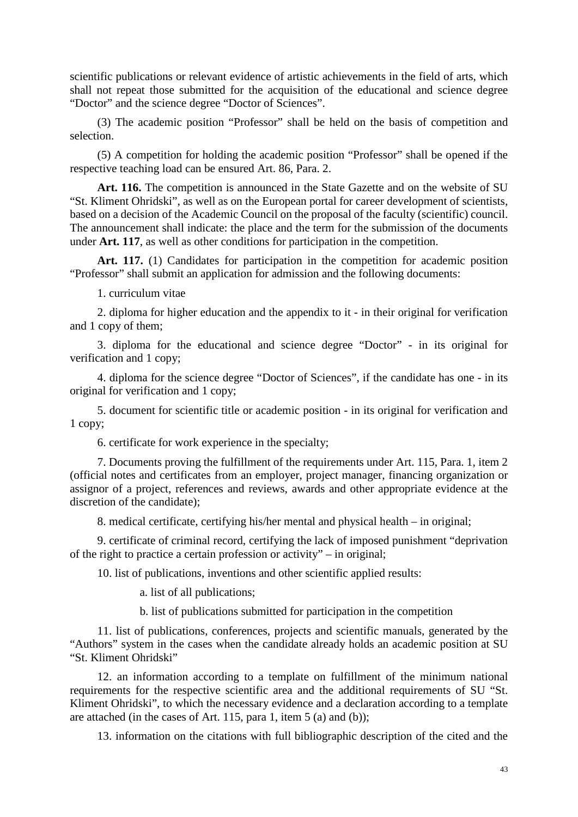scientific publications or relevant evidence of artistic achievements in the field of arts, which shall not repeat those submitted for the acquisition of the educational and science degree "Doctor" and the science degree "Doctor of Sciences".

(3) The academic position "Professor" shall be held on the basis of competition and selection.

(5) A competition for holding the academic position "Professor" shall be opened if the respective teaching load can be ensured Art. 86, Para. 2.

Art. 116. The competition is announced in the State Gazette and on the website of SU "St. Kliment Ohridski", as well as on the European portal for career development of scientists, based on a decision of the Academic Council on the proposal of the faculty (scientific) council. The announcement shall indicate: the place and the term for the submission of the documents under **Art. 117**, as well as other conditions for participation in the competition.

Art. 117. (1) Candidates for participation in the competition for academic position "Professor" shall submit an application for admission and the following documents:

1. curriculum vitae

2. diploma for higher education and the appendix to it - in their original for verification and 1 copy of them;

3. diploma for the educational and science degree "Doctor" - in its original for verification and 1 copy;

4. diploma for the science degree "Doctor of Sciences", if the candidate has one - in its original for verification and 1 copy;

5. document for scientific title or academic position - in its original for verification and 1 copy;

6. certificate for work experience in the specialty;

7. Documents proving the fulfillment of the requirements under Art. 115, Para. 1, item 2 (official notes and certificates from an employer, project manager, financing organization or assignor of a project, references and reviews, awards and other appropriate evidence at the discretion of the candidate);

8. medical certificate, certifying his/her mental and physical health – in original;

9. certificate of criminal record, certifying the lack of imposed punishment "deprivation of the right to practice a certain profession or activity" – in original;

10. list of publications, inventions and other scientific applied results:

a. list of all publications;

b. list of publications submitted for participation in the competition

11. list of publications, conferences, projects and scientific manuals, generated by the "Authors" system in the cases when the candidate already holds an academic position at SU "St. Kliment Ohridski"

12. an information according to a template on fulfillment of the minimum national requirements for the respective scientific area and the additional requirements of SU "St. Kliment Ohridski", to which the necessary evidence and a declaration according to a template are attached (in the cases of Art. 115, para 1, item 5 (a) and (b));

13. information on the citations with full bibliographic description of the cited and the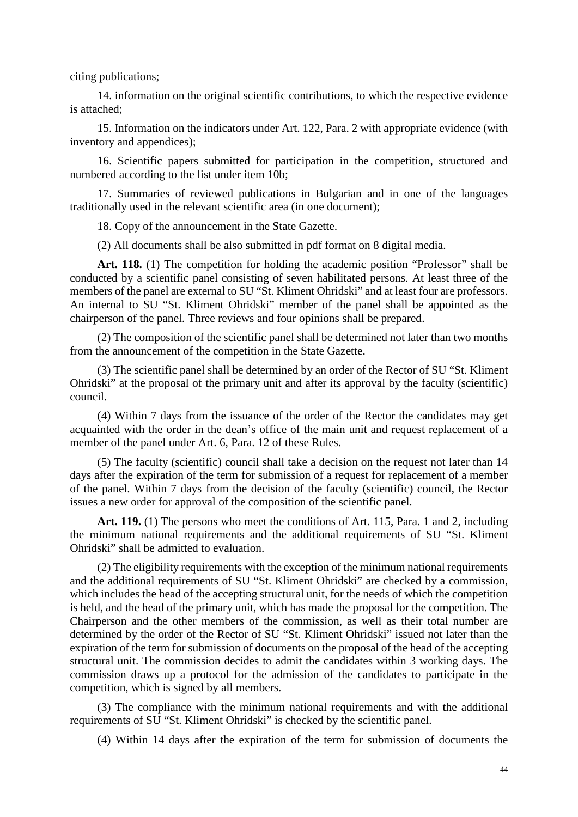citing publications;

14. information on the original scientific contributions, to which the respective evidence is attached;

15. Information on the indicators under Art. 122, Para. 2 with appropriate evidence (with inventory and appendices);

16. Scientific papers submitted for participation in the competition, structured and numbered according to the list under item 10b;

17. Summaries of reviewed publications in Bulgarian and in one of the languages traditionally used in the relevant scientific area (in one document);

18. Copy of the announcement in the State Gazette.

(2) All documents shall be also submitted in pdf format on 8 digital media.

Art. 118. (1) The competition for holding the academic position "Professor" shall be conducted by a scientific panel consisting of seven habilitated persons. At least three of the members of the panel are external to SU "St. Kliment Ohridski" and at least four are professors. An internal to SU "St. Kliment Ohridski" member of the panel shall be appointed as the chairperson of the panel. Three reviews and four opinions shall be prepared.

(2) The composition of the scientific panel shall be determined not later than two months from the announcement of the competition in the State Gazette.

(3) The scientific panel shall be determined by an order of the Rector of SU "St. Kliment Ohridski" at the proposal of the primary unit and after its approval by the faculty (scientific) council.

(4) Within 7 days from the issuance of the order of the Rector the candidates may get acquainted with the order in the dean's office of the main unit and request replacement of a member of the panel under Art. 6, Para. 12 of these Rules.

(5) The faculty (scientific) council shall take a decision on the request not later than 14 days after the expiration of the term for submission of a request for replacement of a member of the panel. Within 7 days from the decision of the faculty (scientific) council, the Rector issues a new order for approval of the composition of the scientific panel.

**Art. 119.** (1) The persons who meet the conditions of Art. 115, Para. 1 and 2, including the minimum national requirements and the additional requirements of SU "St. Kliment Ohridski" shall be admitted to evaluation.

(2) The eligibility requirements with the exception of the minimum national requirements and the additional requirements of SU "St. Kliment Ohridski" are checked by a commission, which includes the head of the accepting structural unit, for the needs of which the competition is held, and the head of the primary unit, which has made the proposal for the competition. The Chairperson and the other members of the commission, as well as their total number are determined by the order of the Rector of SU "St. Kliment Ohridski" issued not later than the expiration of the term for submission of documents on the proposal of the head of the accepting structural unit. The commission decides to admit the candidates within 3 working days. The commission draws up a protocol for the admission of the candidates to participate in the competition, which is signed by all members.

(3) The compliance with the minimum national requirements and with the additional requirements of SU "St. Kliment Ohridski" is checked by the scientific panel.

(4) Within 14 days after the expiration of the term for submission of documents the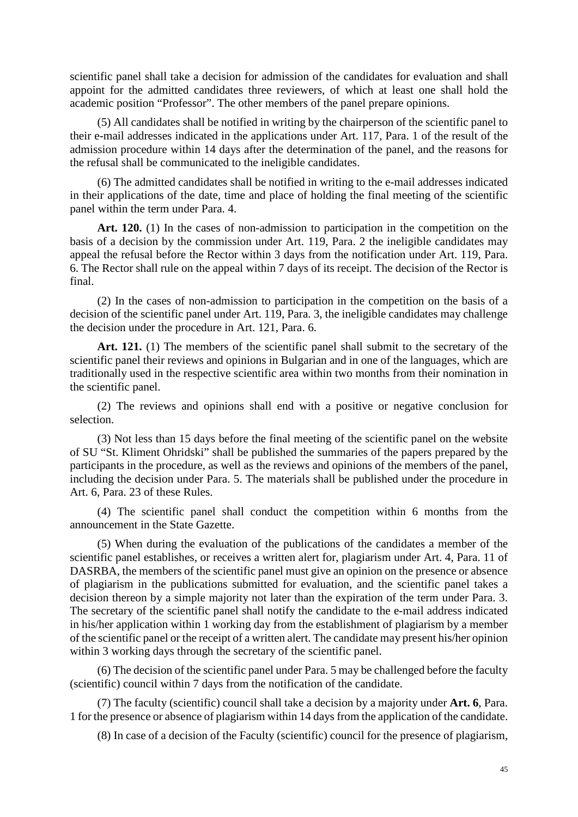scientific panel shall take a decision for admission of the candidates for evaluation and shall appoint for the admitted candidates three reviewers, of which at least one shall hold the academic position "Professor". The other members of the panel prepare opinions.

(5) All candidates shall be notified in writing by the chairperson of the scientific panel to their e-mail addresses indicated in the applications under Art. 117, Para. 1 of the result of the admission procedure within 14 days after the determination of the panel, and the reasons for the refusal shall be communicated to the ineligible candidates.

(6) The admitted candidates shall be notified in writing to the e-mail addresses indicated in their applications of the date, time and place of holding the final meeting of the scientific panel within the term under Para. 4.

Art. 120. (1) In the cases of non-admission to participation in the competition on the basis of a decision by the commission under Art. 119, Para. 2 the ineligible candidates may appeal the refusal before the Rector within 3 days from the notification under Art. 119, Para. 6. The Rector shall rule on the appeal within 7 days of its receipt. The decision of the Rector is final.

(2) In the cases of non-admission to participation in the competition on the basis of a decision of the scientific panel under Art. 119, Para. 3, the ineligible candidates may challenge the decision under the procedure in Art. 121, Para. 6.

Art. 121. (1) The members of the scientific panel shall submit to the secretary of the scientific panel their reviews and opinions in Bulgarian and in one of the languages, which are traditionally used in the respective scientific area within two months from their nomination in the scientific panel.

(2) The reviews and opinions shall end with a positive or negative conclusion for selection.

(3) Not less than 15 days before the final meeting of the scientific panel on the website of SU "St. Kliment Ohridski" shall be published the summaries of the papers prepared by the participants in the procedure, as well as the reviews and opinions of the members of the panel, including the decision under Para. 5. The materials shall be published under the procedure in Art. 6, Para. 23 of these Rules.

(4) The scientific panel shall conduct the competition within 6 months from the announcement in the State Gazette.

(5) When during the evaluation of the publications of the candidates a member of the scientific panel establishes, or receives a written alert for, plagiarism under Art. 4, Para. 11 of DASRBA, the members of the scientific panel must give an opinion on the presence or absence of plagiarism in the publications submitted for evaluation, and the scientific panel takes a decision thereon by a simple majority not later than the expiration of the term under Para. 3. The secretary of the scientific panel shall notify the candidate to the e-mail address indicated in his/her application within 1 working day from the establishment of plagiarism by a member of the scientific panel or the receipt of a written alert. The candidate may present his/her opinion within 3 working days through the secretary of the scientific panel.

(6) The decision of the scientific panel under Para. 5 may be challenged before the faculty (scientific) council within 7 days from the notification of the candidate.

(7) The faculty (scientific) council shall take a decision by a majority under **Art. 6**, Para. 1 for the presence or absence of plagiarism within 14 days from the application of the candidate.

(8) In case of a decision of the Faculty (scientific) council for the presence of plagiarism,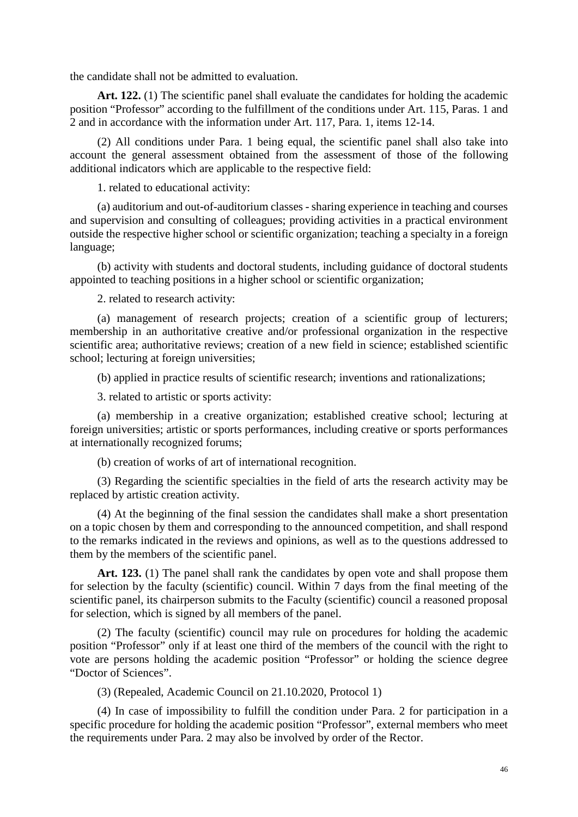the candidate shall not be admitted to evaluation.

**Art. 122.** (1) The scientific panel shall evaluate the candidates for holding the academic position "Professor" according to the fulfillment of the conditions under Art. 115, Paras. 1 and 2 and in accordance with the information under Art. 117, Para. 1, items 12-14.

(2) All conditions under Para. 1 being equal, the scientific panel shall also take into account the general assessment obtained from the assessment of those of the following additional indicators which are applicable to the respective field:

1. related to educational activity:

(a) auditorium and out-of-auditorium classes - sharing experience in teaching and courses and supervision and consulting of colleagues; providing activities in a practical environment outside the respective higher school or scientific organization; teaching a specialty in a foreign language;

(b) activity with students and doctoral students, including guidance of doctoral students appointed to teaching positions in a higher school or scientific organization;

2. related to research activity:

(a) management of research projects; creation of a scientific group of lecturers; membership in an authoritative creative and/or professional organization in the respective scientific area; authoritative reviews; creation of a new field in science; established scientific school; lecturing at foreign universities;

(b) applied in practice results of scientific research; inventions and rationalizations;

3. related to artistic or sports activity:

(a) membership in a creative organization; established creative school; lecturing at foreign universities; artistic or sports performances, including creative or sports performances at internationally recognized forums;

(b) creation of works of art of international recognition.

(3) Regarding the scientific specialties in the field of arts the research activity may be replaced by artistic creation activity.

(4) At the beginning of the final session the candidates shall make a short presentation on a topic chosen by them and corresponding to the announced competition, and shall respond to the remarks indicated in the reviews and opinions, as well as to the questions addressed to them by the members of the scientific panel.

Art. 123. (1) The panel shall rank the candidates by open vote and shall propose them for selection by the faculty (scientific) council. Within 7 days from the final meeting of the scientific panel, its chairperson submits to the Faculty (scientific) council a reasoned proposal for selection, which is signed by all members of the panel.

(2) The faculty (scientific) council may rule on procedures for holding the academic position "Professor" only if at least one third of the members of the council with the right to vote are persons holding the academic position "Professor" or holding the science degree "Doctor of Sciences".

(3) (Repealed, Academic Council on 21.10.2020, Protocol 1)

(4) In case of impossibility to fulfill the condition under Para. 2 for participation in a specific procedure for holding the academic position "Professor", external members who meet the requirements under Para. 2 may also be involved by order of the Rector.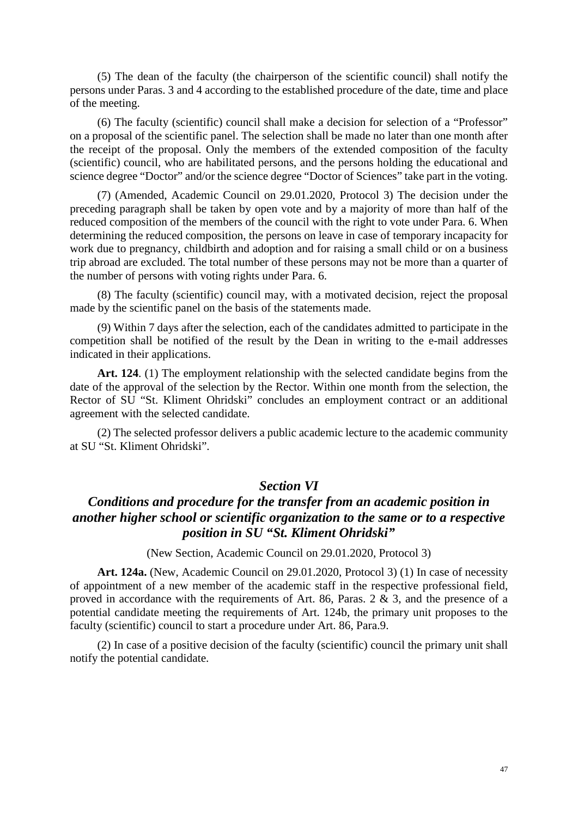(5) The dean of the faculty (the chairperson of the scientific council) shall notify the persons under Paras. 3 and 4 according to the established procedure of the date, time and place of the meeting.

(6) The faculty (scientific) council shall make a decision for selection of a "Professor" on a proposal of the scientific panel. The selection shall be made no later than one month after the receipt of the proposal. Only the members of the extended composition of the faculty (scientific) council, who are habilitated persons, and the persons holding the educational and science degree "Doctor" and/or the science degree "Doctor of Sciences" take part in the voting.

(7) (Amended, Academic Council on 29.01.2020, Protocol 3) The decision under the preceding paragraph shall be taken by open vote and by a majority of more than half of the reduced composition of the members of the council with the right to vote under Para. 6. When determining the reduced composition, the persons on leave in case of temporary incapacity for work due to pregnancy, childbirth and adoption and for raising a small child or on a business trip abroad are excluded. The total number of these persons may not be more than a quarter of the number of persons with voting rights under Para. 6.

(8) The faculty (scientific) council may, with a motivated decision, reject the proposal made by the scientific panel on the basis of the statements made.

(9) Within 7 days after the selection, each of the candidates admitted to participate in the competition shall be notified of the result by the Dean in writing to the e-mail addresses indicated in their applications.

**Art. 124**. (1) The employment relationship with the selected candidate begins from the date of the approval of the selection by the Rector. Within one month from the selection, the Rector of SU "St. Kliment Ohridski" concludes an employment contract or an additional agreement with the selected candidate.

(2) The selected professor delivers a public academic lecture to the academic community at SU "St. Kliment Ohridski".

#### *Section VI*

# *Conditions and procedure for the transfer from an academic position in another higher school or scientific organization to the same or to a respective position in SU "St. Kliment Ohridski"*

(New Section, Academic Council on 29.01.2020, Protocol 3)

**Art. 124a.** (New, Academic Council on 29.01.2020, Protocol 3) (1) In case of necessity of appointment of a new member of the academic staff in the respective professional field, proved in accordance with the requirements of Art. 86, Paras. 2 & 3, and the presence of a potential candidate meeting the requirements of Art. 124b, the primary unit proposes to the faculty (scientific) council to start a procedure under Art. 86, Para.9.

(2) In case of a positive decision of the faculty (scientific) council the primary unit shall notify the potential candidate.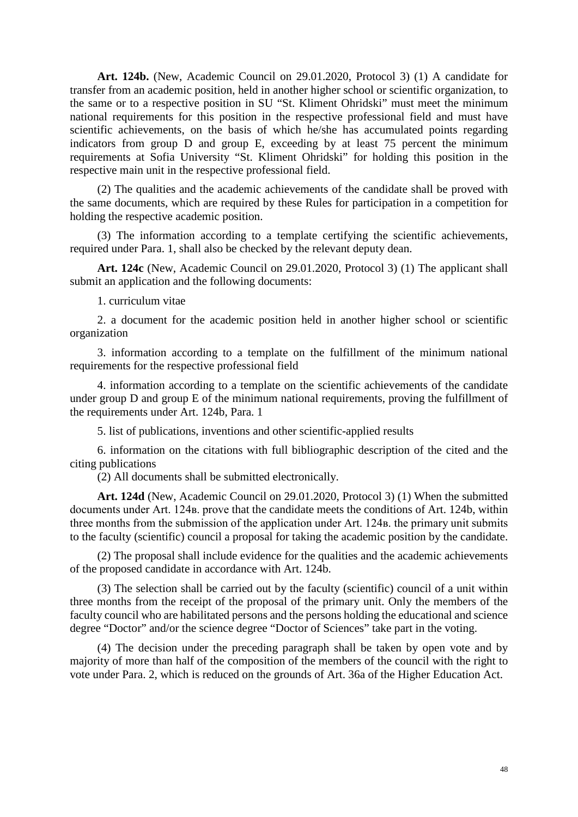**Art. 124b.** (New, Academic Council on 29.01.2020, Protocol 3) (1) A candidate for transfer from an academic position, held in another higher school or scientific organization, to the same or to a respective position in SU "St. Kliment Ohridski" must meet the minimum national requirements for this position in the respective professional field and must have scientific achievements, on the basis of which he/she has accumulated points regarding indicators from group D and group E, exceeding by at least 75 percent the minimum requirements at Sofia University "St. Kliment Ohridski" for holding this position in the respective main unit in the respective professional field.

(2) The qualities and the academic achievements of the candidate shall be proved with the same documents, which are required by these Rules for participation in a competition for holding the respective academic position.

(3) The information according to a template certifying the scientific achievements, required under Para. 1, shall also be checked by the relevant deputy dean.

**Art. 124c** (New, Academic Council on 29.01.2020, Protocol 3) (1) The applicant shall submit an application and the following documents:

1. curriculum vitae

2. a document for the academic position held in another higher school or scientific organization

3. information according to a template on the fulfillment of the minimum national requirements for the respective professional field

4. information according to a template on the scientific achievements of the candidate under group D and group E of the minimum national requirements, proving the fulfillment of the requirements under Art. 124b, Para. 1

5. list of publications, inventions and other scientific-applied results

6. information on the citations with full bibliographic description of the cited and the citing publications

(2) All documents shall be submitted electronically.

**Art. 124d** (New, Academic Council on 29.01.2020, Protocol 3) (1) When the submitted documents under Art. 124в. prove that the candidate meets the conditions of Art. 124b, within three months from the submission of the application under Art. 124в. the primary unit submits to the faculty (scientific) council a proposal for taking the academic position by the candidate.

(2) The proposal shall include evidence for the qualities and the academic achievements of the proposed candidate in accordance with Art. 124b.

(3) The selection shall be carried out by the faculty (scientific) council of a unit within three months from the receipt of the proposal of the primary unit. Only the members of the faculty council who are habilitated persons and the persons holding the educational and science degree "Doctor" and/or the science degree "Doctor of Sciences" take part in the voting.

(4) The decision under the preceding paragraph shall be taken by open vote and by majority of more than half of the composition of the members of the council with the right to vote under Para. 2, which is reduced on the grounds of Art. 36a of the Higher Education Act.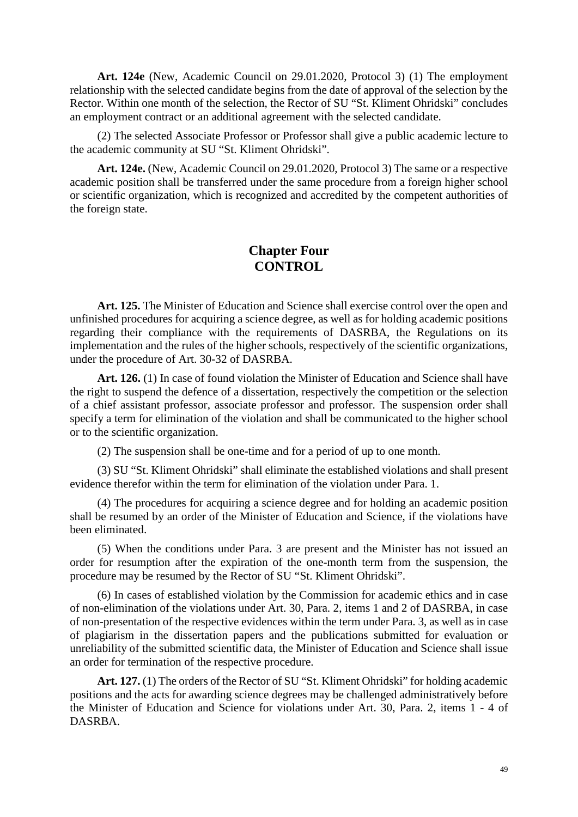**Art. 124e** (New, Academic Council on 29.01.2020, Protocol 3) (1) The employment relationship with the selected candidate begins from the date of approval of the selection by the Rector. Within one month of the selection, the Rector of SU "St. Kliment Ohridski" concludes an employment contract or an additional agreement with the selected candidate.

(2) The selected Associate Professor or Professor shall give a public academic lecture to the academic community at SU "St. Kliment Ohridski".

**Art. 124e.** (New, Academic Council on 29.01.2020, Protocol 3) The same or a respective academic position shall be transferred under the same procedure from a foreign higher school or scientific organization, which is recognized and accredited by the competent authorities of the foreign state.

### **Chapter Four CONTROL**

**Art. 125.** The Minister of Education and Science shall exercise control over the open and unfinished procedures for acquiring a science degree, as well as for holding academic positions regarding their compliance with the requirements of DASRBA, the Regulations on its implementation and the rules of the higher schools, respectively of the scientific organizations, under the procedure of Art. 30-32 of DASRBA.

Art. 126. (1) In case of found violation the Minister of Education and Science shall have the right to suspend the defence of a dissertation, respectively the competition or the selection of a chief assistant professor, associate professor and professor. The suspension order shall specify a term for elimination of the violation and shall be communicated to the higher school or to the scientific organization.

(2) The suspension shall be one-time and for a period of up to one month.

(3) SU "St. Kliment Ohridski" shall eliminate the established violations and shall present evidence therefor within the term for elimination of the violation under Para. 1.

(4) The procedures for acquiring a science degree and for holding an academic position shall be resumed by an order of the Minister of Education and Science, if the violations have been eliminated.

(5) When the conditions under Para. 3 are present and the Minister has not issued an order for resumption after the expiration of the one-month term from the suspension, the procedure may be resumed by the Rector of SU "St. Kliment Ohridski".

(6) In cases of established violation by the Commission for academic ethics and in case of non-elimination of the violations under Art. 30, Para. 2, items 1 and 2 of DASRBA, in case of non-presentation of the respective evidences within the term under Para. 3, as well as in case of plagiarism in the dissertation papers and the publications submitted for evaluation or unreliability of the submitted scientific data, the Minister of Education and Science shall issue an order for termination of the respective procedure.

**Art. 127.** (1) The orders of the Rector of SU "St. Kliment Ohridski" for holding academic positions and the acts for awarding science degrees may be challenged administratively before the Minister of Education and Science for violations under Art. 30, Para. 2, items 1 - 4 of DASRBA.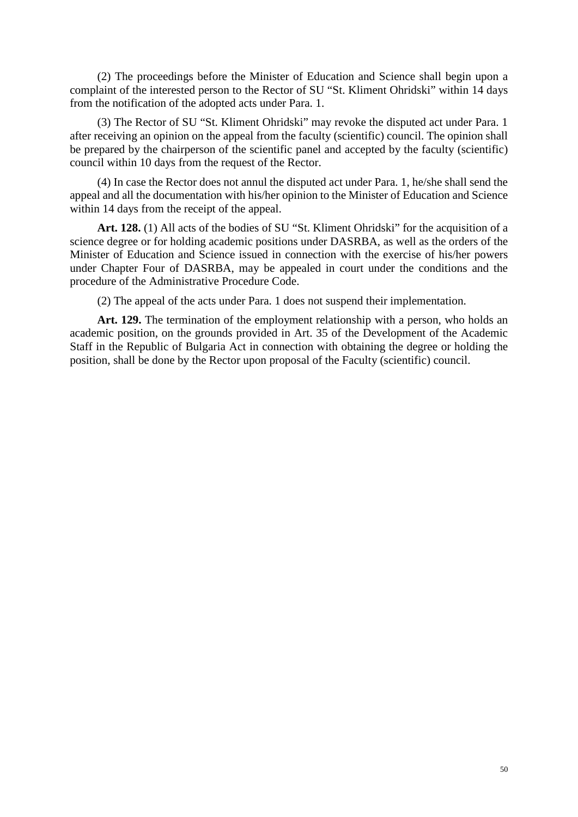(2) The proceedings before the Minister of Education and Science shall begin upon a complaint of the interested person to the Rector of SU "St. Kliment Ohridski" within 14 days from the notification of the adopted acts under Para. 1.

(3) The Rector of SU "St. Kliment Ohridski" may revoke the disputed act under Para. 1 after receiving an opinion on the appeal from the faculty (scientific) council. The opinion shall be prepared by the chairperson of the scientific panel and accepted by the faculty (scientific) council within 10 days from the request of the Rector.

(4) In case the Rector does not annul the disputed act under Para. 1, he/she shall send the appeal and all the documentation with his/her opinion to the Minister of Education and Science within 14 days from the receipt of the appeal.

Art. 128. (1) All acts of the bodies of SU "St. Kliment Ohridski" for the acquisition of a science degree or for holding academic positions under DASRBA, as well as the orders of the Minister of Education and Science issued in connection with the exercise of his/her powers under Chapter Four of DASRBA, may be appealed in court under the conditions and the procedure of the Administrative Procedure Code.

(2) The appeal of the acts under Para. 1 does not suspend their implementation.

Art. 129. The termination of the employment relationship with a person, who holds an academic position, on the grounds provided in Art. 35 of the Development of the Academic Staff in the Republic of Bulgaria Act in connection with obtaining the degree or holding the position, shall be done by the Rector upon proposal of the Faculty (scientific) council.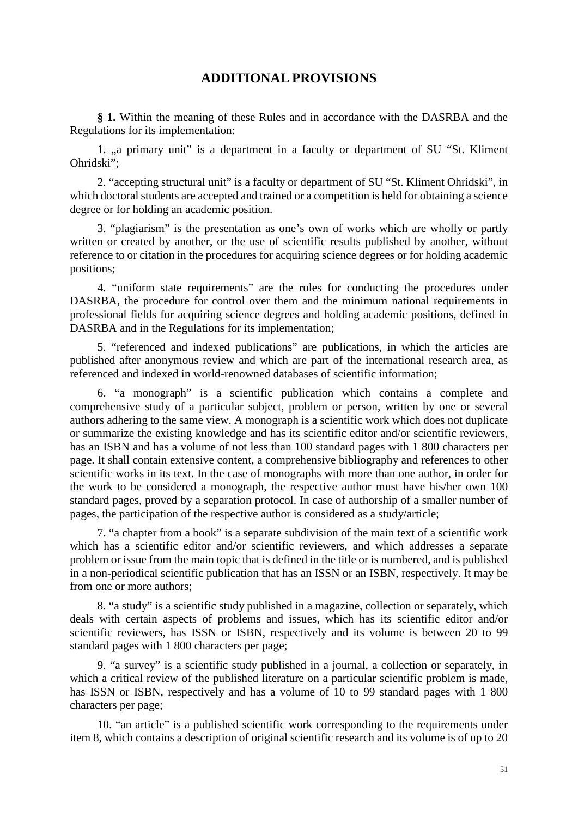# **ADDITIONAL PROVISIONS**

**§ 1.** Within the meaning of these Rules and in accordance with the DASRBA and the Regulations for its implementation:

1. "a primary unit" is a department in a faculty or department of SU "St. Kliment" Ohridski";

2. "accepting structural unit" is a faculty or department of SU "St. Kliment Ohridski", in which doctoral students are accepted and trained or a competition is held for obtaining a science degree or for holding an academic position.

3. "plagiarism" is the presentation as one's own of works which are wholly or partly written or created by another, or the use of scientific results published by another, without reference to or citation in the procedures for acquiring science degrees or for holding academic positions;

4. "uniform state requirements" are the rules for conducting the procedures under DASRBA, the procedure for control over them and the minimum national requirements in professional fields for acquiring science degrees and holding academic positions, defined in DASRBA and in the Regulations for its implementation;

5. "referenced and indexed publications" are publications, in which the articles are published after anonymous review and which are part of the international research area, as referenced and indexed in world-renowned databases of scientific information;

6. "a monograph" is a scientific publication which contains a complete and comprehensive study of a particular subject, problem or person, written by one or several authors adhering to the same view. A monograph is a scientific work which does not duplicate or summarize the existing knowledge and has its scientific editor and/or scientific reviewers, has an ISBN and has a volume of not less than 100 standard pages with 1 800 characters per page. It shall contain extensive content, a comprehensive bibliography and references to other scientific works in its text. In the case of monographs with more than one author, in order for the work to be considered a monograph, the respective author must have his/her own 100 standard pages, proved by a separation protocol. In case of authorship of a smaller number of pages, the participation of the respective author is considered as a study/article;

7. "a chapter from a book" is a separate subdivision of the main text of a scientific work which has a scientific editor and/or scientific reviewers, and which addresses a separate problem or issue from the main topic that is defined in the title or is numbered, and is published in a non-periodical scientific publication that has an ISSN or an ISBN, respectively. It may be from one or more authors;

8. "a study" is a scientific study published in a magazine, collection or separately, which deals with certain aspects of problems and issues, which has its scientific editor and/or scientific reviewers, has ISSN or ISBN, respectively and its volume is between 20 to 99 standard pages with 1 800 characters per page;

9. "a survey" is a scientific study published in a journal, a collection or separately, in which a critical review of the published literature on a particular scientific problem is made, has ISSN or ISBN, respectively and has a volume of 10 to 99 standard pages with 1 800 characters per page;

10. "an article" is a published scientific work corresponding to the requirements under item 8, which contains a description of original scientific research and its volume is of up to 20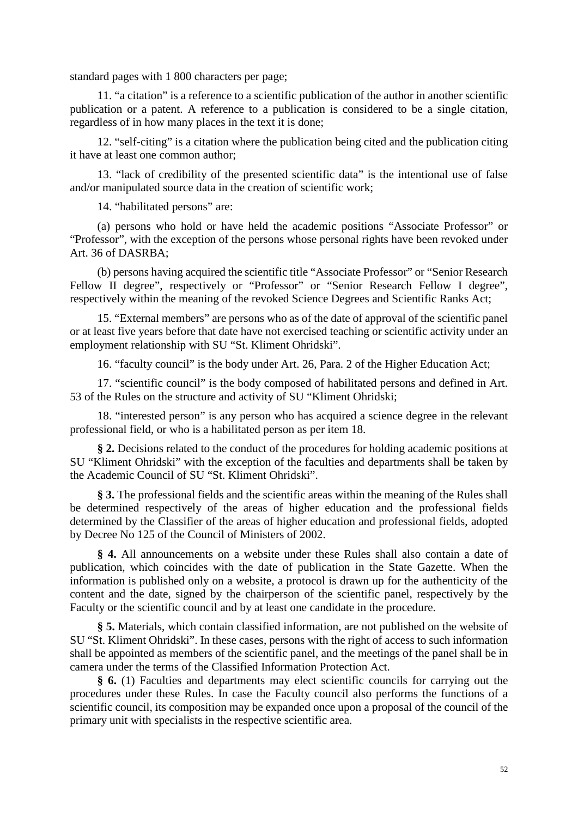standard pages with 1 800 characters per page;

11. "a citation" is a reference to a scientific publication of the author in another scientific publication or a patent. A reference to a publication is considered to be a single citation, regardless of in how many places in the text it is done;

12. "self-citing" is a citation where the publication being cited and the publication citing it have at least one common author;

13. "lack of credibility of the presented scientific data" is the intentional use of false and/or manipulated source data in the creation of scientific work;

14. "habilitated persons" are:

(a) persons who hold or have held the academic positions "Associate Professor" or "Professor", with the exception of the persons whose personal rights have been revoked under Art. 36 of DASRBA;

(b) persons having acquired the scientific title "Associate Professor" or "Senior Research Fellow II degree", respectively or "Professor" or "Senior Research Fellow I degree", respectively within the meaning of the revoked Science Degrees and Scientific Ranks Act;

15. "External members" are persons who as of the date of approval of the scientific panel or at least five years before that date have not exercised teaching or scientific activity under an employment relationship with SU "St. Kliment Ohridski".

16. "faculty council" is the body under Art. 26, Para. 2 of the Higher Education Act;

17. "scientific council" is the body composed of habilitated persons and defined in Art. 53 of the Rules on the structure and activity of SU "Kliment Ohridski;

18. "interested person" is any person who has acquired a science degree in the relevant professional field, or who is a habilitated person as per item 18.

**§ 2.** Decisions related to the conduct of the procedures for holding academic positions at SU "Kliment Ohridski" with the exception of the faculties and departments shall be taken by the Academic Council of SU "St. Kliment Ohridski".

**§ 3.** The professional fields and the scientific areas within the meaning of the Rules shall be determined respectively of the areas of higher education and the professional fields determined by the Classifier of the areas of higher education and professional fields, adopted by Decree No 125 of the Council of Ministers of 2002.

**§ 4.** All announcements on a website under these Rules shall also contain a date of publication, which coincides with the date of publication in the State Gazette. When the information is published only on a website, a protocol is drawn up for the authenticity of the content and the date, signed by the chairperson of the scientific panel, respectively by the Faculty or the scientific council and by at least one candidate in the procedure.

**§ 5.** Materials, which contain classified information, are not published on the website of SU "St. Kliment Ohridski". In these cases, persons with the right of access to such information shall be appointed as members of the scientific panel, and the meetings of the panel shall be in camera under the terms of the Classified Information Protection Act.

**§ 6.** (1) Faculties and departments may elect scientific councils for carrying out the procedures under these Rules. In case the Faculty council also performs the functions of a scientific council, its composition may be expanded once upon a proposal of the council of the primary unit with specialists in the respective scientific area.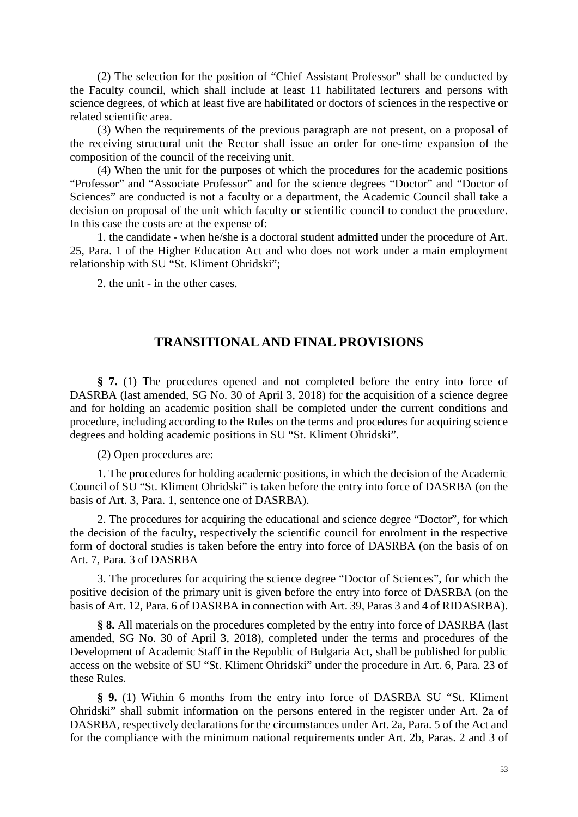(2) The selection for the position of "Chief Assistant Professor" shall be conducted by the Faculty council, which shall include at least 11 habilitated lecturers and persons with science degrees, of which at least five are habilitated or doctors of sciences in the respective or related scientific area.

(3) When the requirements of the previous paragraph are not present, on a proposal of the receiving structural unit the Rector shall issue an order for one-time expansion of the composition of the council of the receiving unit.

(4) When the unit for the purposes of which the procedures for the academic positions "Professor" and "Associate Professor" and for the science degrees "Doctor" and "Doctor of Sciences" are conducted is not a faculty or a department, the Academic Council shall take a decision on proposal of the unit which faculty or scientific council to conduct the procedure. In this case the costs are at the expense of:

1. the candidate - when he/she is a doctoral student admitted under the procedure of Art. 25, Para. 1 of the Higher Education Act and who does not work under a main employment relationship with SU "St. Kliment Ohridski";

2. the unit - in the other cases.

#### **TRANSITIONAL AND FINAL PROVISIONS**

**§ 7.** (1) The procedures opened and not completed before the entry into force of DASRBA (last amended, SG No. 30 of April 3, 2018) for the acquisition of a science degree and for holding an academic position shall be completed under the current conditions and procedure, including according to the Rules on the terms and procedures for acquiring science degrees and holding academic positions in SU "St. Kliment Ohridski".

(2) Open procedures are:

1. The procedures for holding academic positions, in which the decision of the Academic Council of SU "St. Kliment Ohridski" is taken before the entry into force of DASRBA (on the basis of Art. 3, Para. 1, sentence one of DASRBA).

2. The procedures for acquiring the educational and science degree "Doctor", for which the decision of the faculty, respectively the scientific council for enrolment in the respective form of doctoral studies is taken before the entry into force of DASRBA (on the basis of on Art. 7, Para. 3 of DASRBA

3. The procedures for acquiring the science degree "Doctor of Sciences", for which the positive decision of the primary unit is given before the entry into force of DASRBA (on the basis of Art. 12, Para. 6 of DASRBA in connection with Art. 39, Paras 3 and 4 of RIDASRBA).

**§ 8.** All materials on the procedures completed by the entry into force of DASRBA (last amended, SG No. 30 of April 3, 2018), completed under the terms and procedures of the Development of Academic Staff in the Republic of Bulgaria Act, shall be published for public access on the website of SU "St. Kliment Ohridski" under the procedure in Art. 6, Para. 23 of these Rules.

**§ 9.** (1) Within 6 months from the entry into force of DASRBA SU "St. Kliment Ohridski" shall submit information on the persons entered in the register under Art. 2a of DASRBA, respectively declarations for the circumstances under Art. 2a, Para. 5 of the Act and for the compliance with the minimum national requirements under Art. 2b, Paras. 2 and 3 of